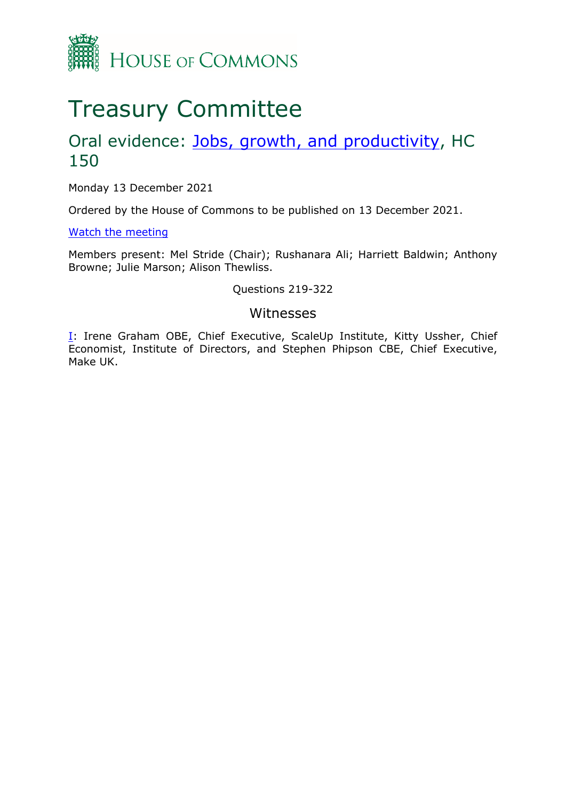

# Treasury Committee

## Oral evidence: [Jobs,](https://committees.parliament.uk/work/1157/jobs-growth-and-productivity-after-coronavirus/) [growth,](https://committees.parliament.uk/work/1157/jobs-growth-and-productivity-after-coronavirus/) [and](https://committees.parliament.uk/work/1157/jobs-growth-and-productivity-after-coronavirus/) [productivity,](https://committees.parliament.uk/work/1157/jobs-growth-and-productivity-after-coronavirus/) HC 150

Monday 13 December 2021

Ordered by the House of Commons to be published on 13 December 2021.

[Watch](https://parliamentlive.tv/event/index/9cc0dbee-e908-46c1-bdc3-cee2c23f2249) [the](https://parliamentlive.tv/event/index/9cc0dbee-e908-46c1-bdc3-cee2c23f2249) [meeting](https://parliamentlive.tv/event/index/9cc0dbee-e908-46c1-bdc3-cee2c23f2249)

Members present: Mel Stride (Chair); Rushanara Ali; Harriett Baldwin; Anthony Browne; Julie Marson; Alison Thewliss.

#### Questions 219-322

#### Witnesses

[I:](#page-1-0) Irene Graham OBE, Chief Executive, ScaleUp Institute, Kitty Ussher, Chief Economist, Institute of Directors, and Stephen Phipson CBE, Chief Executive, Make UK.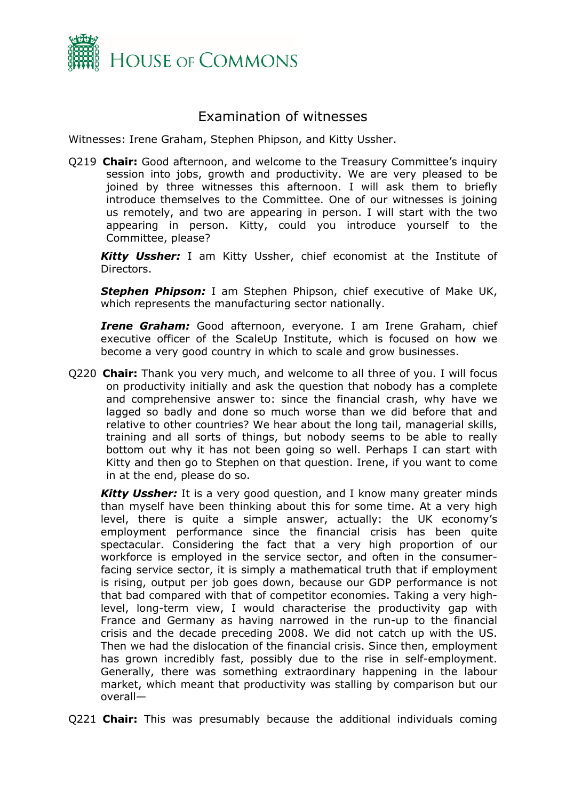

### <span id="page-1-0"></span>Examination of witnesses

Witnesses: Irene Graham, Stephen Phipson, and Kitty Ussher.

Q219 **Chair:** Good afternoon, and welcome to the Treasury Committee's inquiry session into jobs, growth and productivity. We are very pleased to be joined by three witnesses this afternoon. I will ask them to briefly introduce themselves to the Committee. One of our witnesses is joining us remotely, and two are appearing in person. I will start with the two appearing in person. Kitty, could you introduce yourself to the Committee, please?

*Kitty Ussher:* I am Kitty Ussher, chief economist at the Institute of Directors.

*Stephen Phipson:* I am Stephen Phipson, chief executive of Make UK, which represents the manufacturing sector nationally.

*Irene Graham:* Good afternoon, everyone. I am Irene Graham, chief executive officer of the ScaleUp Institute, which is focused on how we become a very good country in which to scale and grow businesses.

Q220 **Chair:** Thank you very much, and welcome to all three of you. I will focus on productivity initially and ask the question that nobody has a complete and comprehensive answer to: since the financial crash, why have we lagged so badly and done so much worse than we did before that and relative to other countries? We hear about the long tail, managerial skills, training and all sorts of things, but nobody seems to be able to really bottom out why it has not been going so well. Perhaps I can start with Kitty and then go to Stephen on that question. Irene, if you want to come in at the end, please do so.

*Kitty Ussher:* It is a very good question, and I know many greater minds than myself have been thinking about this for some time. At a very high level, there is quite a simple answer, actually: the UK economy's employment performance since the financial crisis has been quite spectacular. Considering the fact that a very high proportion of our workforce is employed in the service sector, and often in the consumerfacing service sector, it is simply a mathematical truth that if employment is rising, output per job goes down, because our GDP performance is not that bad compared with that of competitor economies. Taking a very highlevel, long-term view, I would characterise the productivity gap with France and Germany as having narrowed in the run-up to the financial crisis and the decade preceding 2008. We did not catch up with the US. Then we had the dislocation of the financial crisis. Since then, employment has grown incredibly fast, possibly due to the rise in self-employment. Generally, there was something extraordinary happening in the labour market, which meant that productivity was stalling by comparison but our overall—

Q221 **Chair:** This was presumably because the additional individuals coming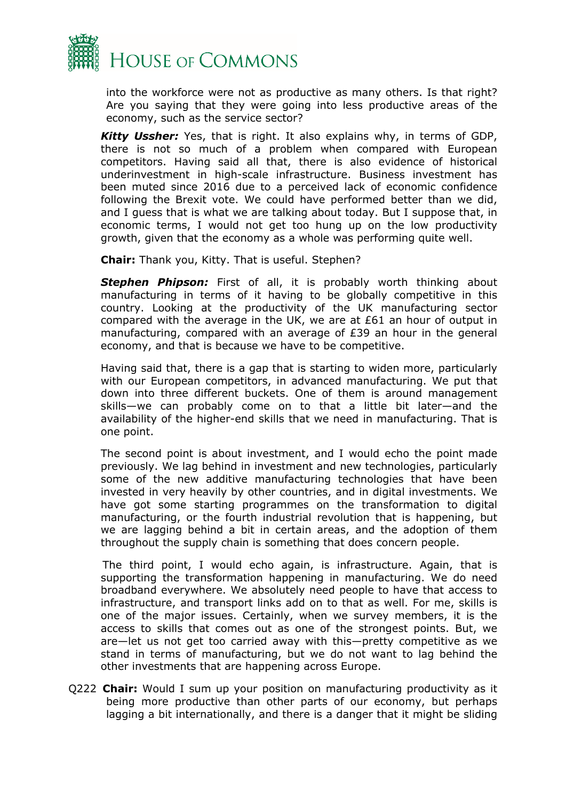

into the workforce were not as productive as many others. Is that right? Are you saying that they were going into less productive areas of the economy, such as the service sector?

*Kitty Ussher:* Yes, that is right. It also explains why, in terms of GDP, there is not so much of a problem when compared with European competitors. Having said all that, there is also evidence of historical underinvestment in high-scale infrastructure. Business investment has been muted since 2016 due to a perceived lack of economic confidence following the Brexit vote. We could have performed better than we did, and I guess that is what we are talking about today. But I suppose that, in economic terms, I would not get too hung up on the low productivity growth, given that the economy as a whole was performing quite well.

**Chair:** Thank you, Kitty. That is useful. Stephen?

**Stephen Phipson:** First of all, it is probably worth thinking about manufacturing in terms of it having to be globally competitive in this country. Looking at the productivity of the UK manufacturing sector compared with the average in the UK, we are at £61 an hour of output in manufacturing, compared with an average of £39 an hour in the general economy, and that is because we have to be competitive.

Having said that, there is a gap that is starting to widen more, particularly with our European competitors, in advanced manufacturing. We put that down into three different buckets. One of them is around management skills—we can probably come on to that a little bit later—and the availability of the higher-end skills that we need in manufacturing. That is one point.

The second point is about investment, and I would echo the point made previously. We lag behind in investment and new technologies, particularly some of the new additive manufacturing technologies that have been invested in very heavily by other countries, and in digital investments. We have got some starting programmes on the transformation to digital manufacturing, or the fourth industrial revolution that is happening, but we are lagging behind a bit in certain areas, and the adoption of them throughout the supply chain is something that does concern people.

The third point, I would echo again, is infrastructure. Again, that is supporting the transformation happening in manufacturing. We do need broadband everywhere. We absolutely need people to have that access to infrastructure, and transport links add on to that as well. For me, skills is one of the major issues. Certainly, when we survey members, it is the access to skills that comes out as one of the strongest points. But, we are—let us not get too carried away with this—pretty competitive as we stand in terms of manufacturing, but we do not want to lag behind the other investments that are happening across Europe.

Q222 **Chair:** Would I sum up your position on manufacturing productivity as it being more productive than other parts of our economy, but perhaps lagging a bit internationally, and there is a danger that it might be sliding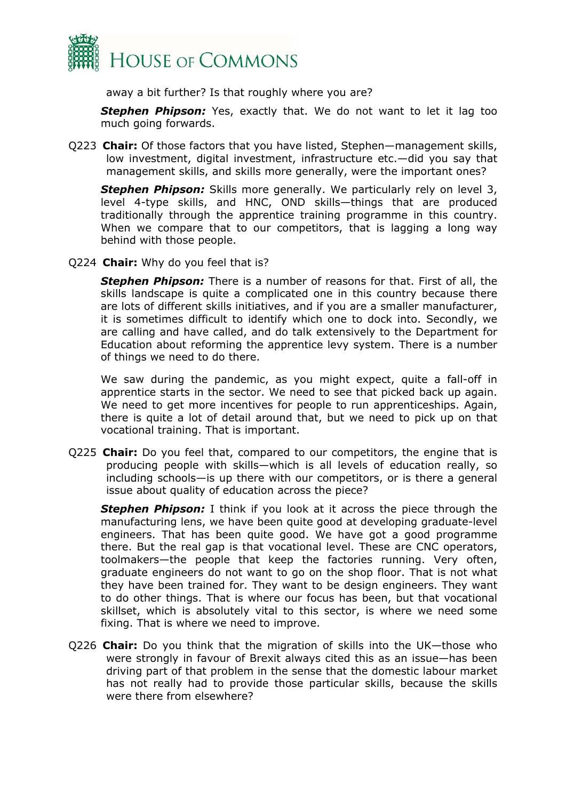

away a bit further? Is that roughly where you are?

*Stephen Phipson:* Yes, exactly that. We do not want to let it lag too much going forwards.

Q223 **Chair:** Of those factors that you have listed, Stephen—management skills, low investment, digital investment, infrastructure etc.—did you say that management skills, and skills more generally, were the important ones?

*Stephen Phipson:* Skills more generally. We particularly rely on level 3, level 4-type skills, and HNC, OND skills—things that are produced traditionally through the apprentice training programme in this country. When we compare that to our competitors, that is lagging a long way behind with those people.

Q224 **Chair:** Why do you feel that is?

*Stephen Phipson:* There is a number of reasons for that. First of all, the skills landscape is quite a complicated one in this country because there are lots of different skills initiatives, and if you are a smaller manufacturer, it is sometimes difficult to identify which one to dock into. Secondly, we are calling and have called, and do talk extensively to the Department for Education about reforming the apprentice levy system. There is a number of things we need to do there.

We saw during the pandemic, as you might expect, quite a fall-off in apprentice starts in the sector. We need to see that picked back up again. We need to get more incentives for people to run apprenticeships. Again, there is quite a lot of detail around that, but we need to pick up on that vocational training. That is important.

Q225 **Chair:** Do you feel that, compared to our competitors, the engine that is producing people with skills—which is all levels of education really, so including schools—is up there with our competitors, or is there a general issue about quality of education across the piece?

**Stephen Phipson:** I think if you look at it across the piece through the manufacturing lens, we have been quite good at developing graduate-level engineers. That has been quite good. We have got a good programme there. But the real gap is that vocational level. These are CNC operators, toolmakers—the people that keep the factories running. Very often, graduate engineers do not want to go on the shop floor. That is not what they have been trained for. They want to be design engineers. They want to do other things. That is where our focus has been, but that vocational skillset, which is absolutely vital to this sector, is where we need some fixing. That is where we need to improve.

Q226 **Chair:** Do you think that the migration of skills into the UK—those who were strongly in favour of Brexit always cited this as an issue—has been driving part of that problem in the sense that the domestic labour market has not really had to provide those particular skills, because the skills were there from elsewhere?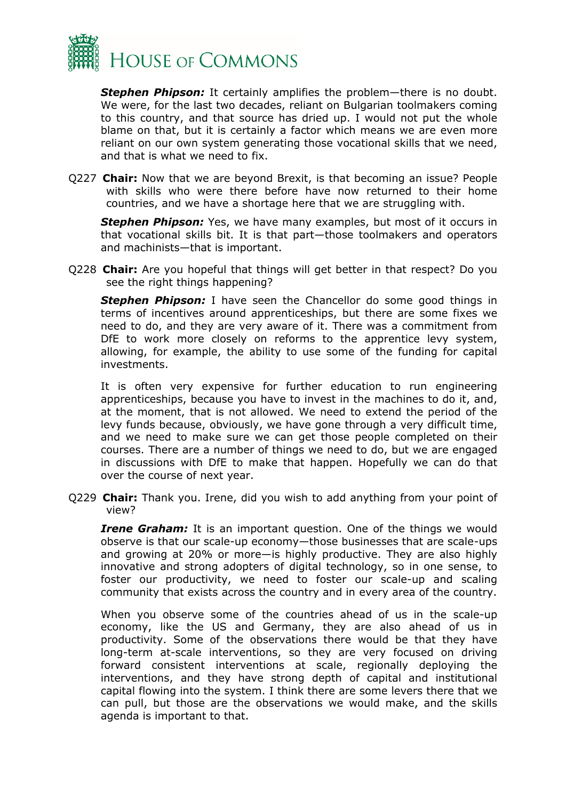

*Stephen Phipson:* It certainly amplifies the problem—there is no doubt. We were, for the last two decades, reliant on Bulgarian toolmakers coming to this country, and that source has dried up. I would not put the whole blame on that, but it is certainly a factor which means we are even more reliant on our own system generating those vocational skills that we need, and that is what we need to fix.

Q227 **Chair:** Now that we are beyond Brexit, is that becoming an issue? People with skills who were there before have now returned to their home countries, and we have a shortage here that we are struggling with.

**Stephen Phipson:** Yes, we have many examples, but most of it occurs in that vocational skills bit. It is that part—those toolmakers and operators and machinists—that is important.

Q228 **Chair:** Are you hopeful that things will get better in that respect? Do you see the right things happening?

*Stephen Phipson:* I have seen the Chancellor do some good things in terms of incentives around apprenticeships, but there are some fixes we need to do, and they are very aware of it. There was a commitment from DfE to work more closely on reforms to the apprentice levy system, allowing, for example, the ability to use some of the funding for capital investments.

It is often very expensive for further education to run engineering apprenticeships, because you have to invest in the machines to do it, and, at the moment, that is not allowed. We need to extend the period of the levy funds because, obviously, we have gone through a very difficult time, and we need to make sure we can get those people completed on their courses. There are a number of things we need to do, but we are engaged in discussions with DfE to make that happen. Hopefully we can do that over the course of next year.

Q229 **Chair:** Thank you. Irene, did you wish to add anything from your point of view?

*Irene Graham:* It is an important question. One of the things we would observe is that our scale-up economy—those businesses that are scale-ups and growing at 20% or more—is highly productive. They are also highly innovative and strong adopters of digital technology, so in one sense, to foster our productivity, we need to foster our scale-up and scaling community that exists across the country and in every area of the country.

When you observe some of the countries ahead of us in the scale-up economy, like the US and Germany, they are also ahead of us in productivity. Some of the observations there would be that they have long-term at-scale interventions, so they are very focused on driving forward consistent interventions at scale, regionally deploying the interventions, and they have strong depth of capital and institutional capital flowing into the system. I think there are some levers there that we can pull, but those are the observations we would make, and the skills agenda is important to that.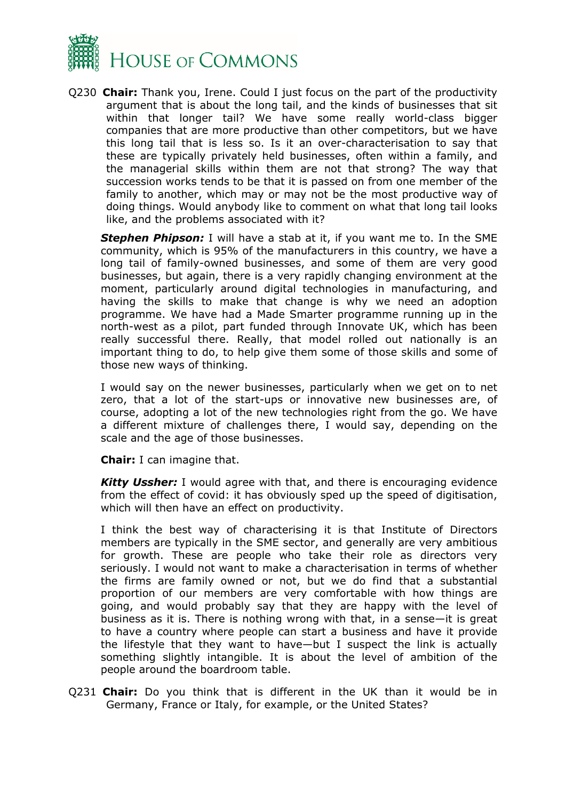

Q230 **Chair:** Thank you, Irene. Could I just focus on the part of the productivity argument that is about the long tail, and the kinds of businesses that sit within that longer tail? We have some really world-class bigger companies that are more productive than other competitors, but we have this long tail that is less so. Is it an over-characterisation to say that these are typically privately held businesses, often within a family, and the managerial skills within them are not that strong? The way that succession works tends to be that it is passed on from one member of the family to another, which may or may not be the most productive way of doing things. Would anybody like to comment on what that long tail looks like, and the problems associated with it?

*Stephen Phipson:* I will have a stab at it, if you want me to. In the SME community, which is 95% of the manufacturers in this country, we have a long tail of family-owned businesses, and some of them are very good businesses, but again, there is a very rapidly changing environment at the moment, particularly around digital technologies in manufacturing, and having the skills to make that change is why we need an adoption programme. We have had a Made Smarter programme running up in the north-west as a pilot, part funded through Innovate UK, which has been really successful there. Really, that model rolled out nationally is an important thing to do, to help give them some of those skills and some of those new ways of thinking.

I would say on the newer businesses, particularly when we get on to net zero, that a lot of the start-ups or innovative new businesses are, of course, adopting a lot of the new technologies right from the go. We have a different mixture of challenges there, I would say, depending on the scale and the age of those businesses.

**Chair:** I can imagine that.

*Kitty Ussher:* I would agree with that, and there is encouraging evidence from the effect of covid: it has obviously sped up the speed of digitisation, which will then have an effect on productivity.

I think the best way of characterising it is that Institute of Directors members are typically in the SME sector, and generally are very ambitious for growth. These are people who take their role as directors very seriously. I would not want to make a characterisation in terms of whether the firms are family owned or not, but we do find that a substantial proportion of our members are very comfortable with how things are going, and would probably say that they are happy with the level of business as it is. There is nothing wrong with that, in a sense—it is great to have a country where people can start a business and have it provide the lifestyle that they want to have—but I suspect the link is actually something slightly intangible. It is about the level of ambition of the people around the boardroom table.

Q231 **Chair:** Do you think that is different in the UK than it would be in Germany, France or Italy, for example, or the United States?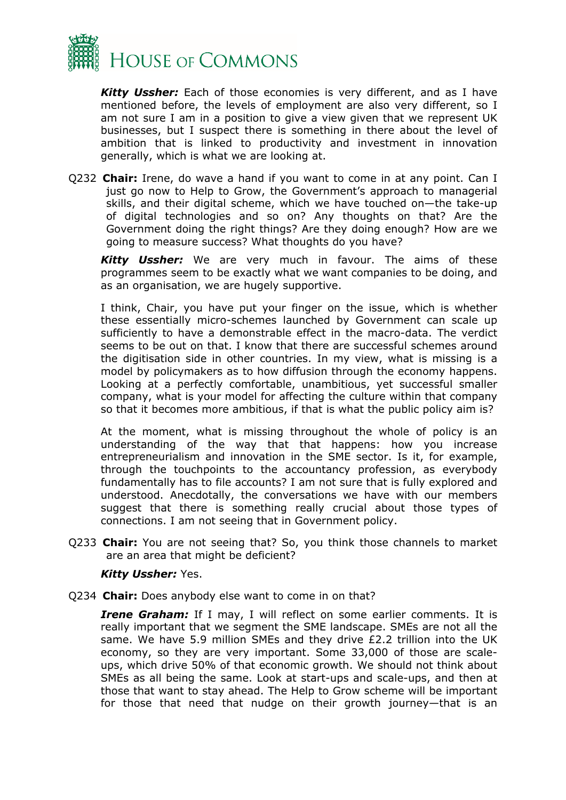

*Kitty Ussher:* Each of those economies is very different, and as I have mentioned before, the levels of employment are also very different, so I am not sure I am in a position to give a view given that we represent UK businesses, but I suspect there is something in there about the level of ambition that is linked to productivity and investment in innovation generally, which is what we are looking at.

Q232 **Chair:** Irene, do wave a hand if you want to come in at any point. Can I just go now to Help to Grow, the Government's approach to managerial skills, and their digital scheme, which we have touched on—the take-up of digital technologies and so on? Any thoughts on that? Are the Government doing the right things? Are they doing enough? How are we going to measure success? What thoughts do you have?

*Kitty Ussher:* We are very much in favour. The aims of these programmes seem to be exactly what we want companies to be doing, and as an organisation, we are hugely supportive.

I think, Chair, you have put your finger on the issue, which is whether these essentially micro-schemes launched by Government can scale up sufficiently to have a demonstrable effect in the macro-data. The verdict seems to be out on that. I know that there are successful schemes around the digitisation side in other countries. In my view, what is missing is a model by policymakers as to how diffusion through the economy happens. Looking at a perfectly comfortable, unambitious, yet successful smaller company, what is your model for affecting the culture within that company so that it becomes more ambitious, if that is what the public policy aim is?

At the moment, what is missing throughout the whole of policy is an understanding of the way that that happens: how you increase entrepreneurialism and innovation in the SME sector. Is it, for example, through the touchpoints to the accountancy profession, as everybody fundamentally has to file accounts? I am not sure that is fully explored and understood. Anecdotally, the conversations we have with our members suggest that there is something really crucial about those types of connections. I am not seeing that in Government policy.

Q233 **Chair:** You are not seeing that? So, you think those channels to market are an area that might be deficient?

#### *Kitty Ussher:* Yes.

Q234 **Chair:** Does anybody else want to come in on that?

*Irene Graham:* If I may, I will reflect on some earlier comments. It is really important that we segment the SME landscape. SMEs are not all the same. We have 5.9 million SMEs and they drive £2.2 trillion into the UK economy, so they are very important. Some 33,000 of those are scaleups, which drive 50% of that economic growth. We should not think about SMEs as all being the same. Look at start-ups and scale-ups, and then at those that want to stay ahead. The Help to Grow scheme will be important for those that need that nudge on their growth journey—that is an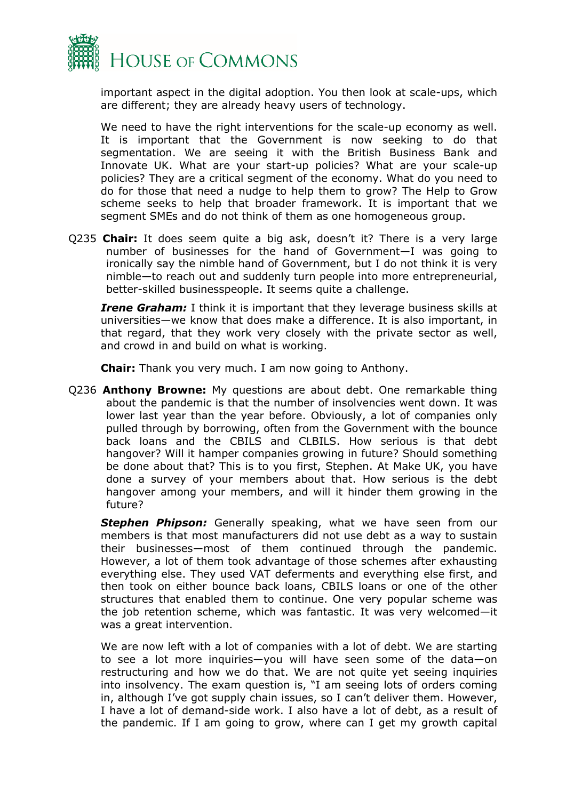

important aspect in the digital adoption. You then look at scale-ups, which are different; they are already heavy users of technology.

We need to have the right interventions for the scale-up economy as well. It is important that the Government is now seeking to do that segmentation. We are seeing it with the British Business Bank and Innovate UK. What are your start-up policies? What are your scale-up policies? They are a critical segment of the economy. What do you need to do for those that need a nudge to help them to grow? The Help to Grow scheme seeks to help that broader framework. It is important that we segment SMEs and do not think of them as one homogeneous group.

Q235 **Chair:** It does seem quite a big ask, doesn't it? There is a very large number of businesses for the hand of Government—I was going to ironically say the nimble hand of Government, but I do not think it is very nimble—to reach out and suddenly turn people into more entrepreneurial, better-skilled businesspeople. It seems quite a challenge.

*Irene Graham:* I think it is important that they leverage business skills at universities—we know that does make a difference. It is also important, in that regard, that they work very closely with the private sector as well, and crowd in and build on what is working.

**Chair:** Thank you very much. I am now going to Anthony.

Q236 **Anthony Browne:** My questions are about debt. One remarkable thing about the pandemic is that the number of insolvencies went down. It was lower last year than the year before. Obviously, a lot of companies only pulled through by borrowing, often from the Government with the bounce back loans and the CBILS and CLBILS. How serious is that debt hangover? Will it hamper companies growing in future? Should something be done about that? This is to you first, Stephen. At Make UK, you have done a survey of your members about that. How serious is the debt hangover among your members, and will it hinder them growing in the future?

**Stephen Phipson:** Generally speaking, what we have seen from our members is that most manufacturers did not use debt as a way to sustain their businesses—most of them continued through the pandemic. However, a lot of them took advantage of those schemes after exhausting everything else. They used VAT deferments and everything else first, and then took on either bounce back loans, CBILS loans or one of the other structures that enabled them to continue. One very popular scheme was the job retention scheme, which was fantastic. It was very welcomed—it was a great intervention.

We are now left with a lot of companies with a lot of debt. We are starting to see a lot more inquiries—you will have seen some of the data—on restructuring and how we do that. We are not quite yet seeing inquiries into insolvency. The exam question is, "I am seeing lots of orders coming in, although I've got supply chain issues, so I can't deliver them. However, I have a lot of demand-side work. I also have a lot of debt, as a result of the pandemic. If I am going to grow, where can I get my growth capital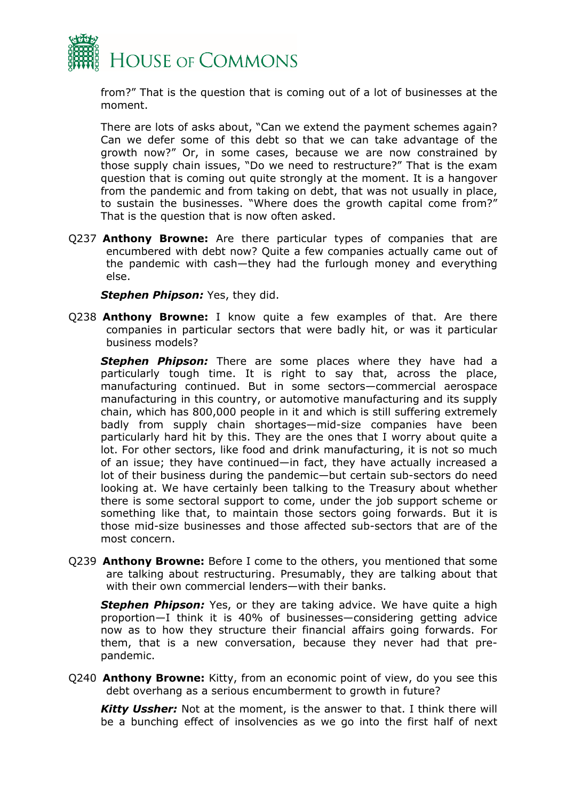

from?" That is the question that is coming out of a lot of businesses at the moment.

There are lots of asks about, "Can we extend the payment schemes again? Can we defer some of this debt so that we can take advantage of the growth now?" Or, in some cases, because we are now constrained by those supply chain issues, "Do we need to restructure?" That is the exam question that is coming out quite strongly at the moment. It is a hangover from the pandemic and from taking on debt, that was not usually in place, to sustain the businesses. "Where does the growth capital come from?" That is the question that is now often asked.

Q237 **Anthony Browne:** Are there particular types of companies that are encumbered with debt now? Quite a few companies actually came out of the pandemic with cash—they had the furlough money and everything else.

**Stephen Phipson:** Yes, they did.

Q238 **Anthony Browne:** I know quite a few examples of that. Are there companies in particular sectors that were badly hit, or was it particular business models?

**Stephen Phipson:** There are some places where they have had a particularly tough time. It is right to say that, across the place, manufacturing continued. But in some sectors—commercial aerospace manufacturing in this country, or automotive manufacturing and its supply chain, which has 800,000 people in it and which is still suffering extremely badly from supply chain shortages—mid-size companies have been particularly hard hit by this. They are the ones that I worry about quite a lot. For other sectors, like food and drink manufacturing, it is not so much of an issue; they have continued—in fact, they have actually increased a lot of their business during the pandemic—but certain sub-sectors do need looking at. We have certainly been talking to the Treasury about whether there is some sectoral support to come, under the job support scheme or something like that, to maintain those sectors going forwards. But it is those mid-size businesses and those affected sub-sectors that are of the most concern.

Q239 **Anthony Browne:** Before I come to the others, you mentioned that some are talking about restructuring. Presumably, they are talking about that with their own commercial lenders—with their banks.

**Stephen Phipson:** Yes, or they are taking advice. We have quite a high proportion—I think it is 40% of businesses—considering getting advice now as to how they structure their financial affairs going forwards. For them, that is a new conversation, because they never had that prepandemic.

Q240 **Anthony Browne:** Kitty, from an economic point of view, do you see this debt overhang as a serious encumberment to growth in future?

*Kitty Ussher:* Not at the moment, is the answer to that. I think there will be a bunching effect of insolvencies as we go into the first half of next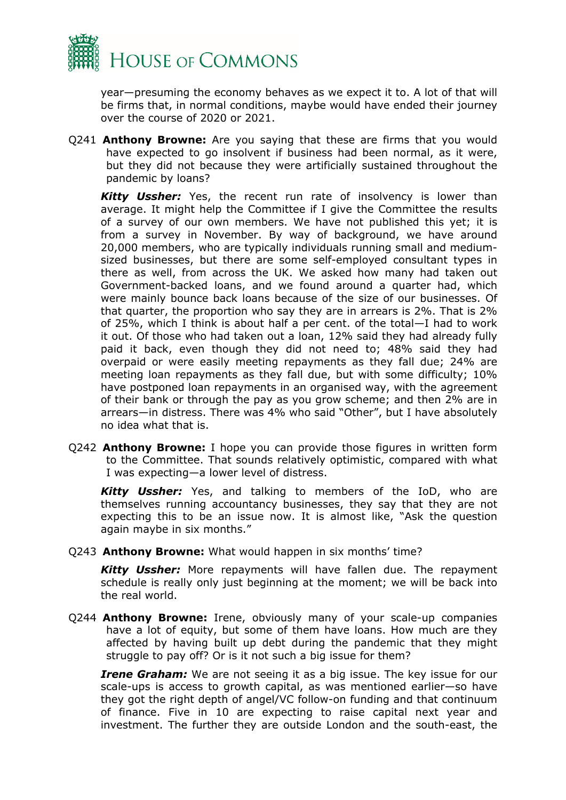

year—presuming the economy behaves as we expect it to. A lot of that will be firms that, in normal conditions, maybe would have ended their journey over the course of 2020 or 2021.

Q241 **Anthony Browne:** Are you saying that these are firms that you would have expected to go insolvent if business had been normal, as it were, but they did not because they were artificially sustained throughout the pandemic by loans?

*Kitty Ussher:* Yes, the recent run rate of insolvency is lower than average. It might help the Committee if I give the Committee the results of a survey of our own members. We have not published this yet; it is from a survey in November. By way of background, we have around 20,000 members, who are typically individuals running small and mediumsized businesses, but there are some self-employed consultant types in there as well, from across the UK. We asked how many had taken out Government-backed loans, and we found around a quarter had, which were mainly bounce back loans because of the size of our businesses. Of that quarter, the proportion who say they are in arrears is 2%. That is 2% of 25%, which I think is about half a per cent. of the total—I had to work it out. Of those who had taken out a loan, 12% said they had already fully paid it back, even though they did not need to; 48% said they had overpaid or were easily meeting repayments as they fall due; 24% are meeting loan repayments as they fall due, but with some difficulty; 10% have postponed loan repayments in an organised way, with the agreement of their bank or through the pay as you grow scheme; and then 2% are in arrears—in distress. There was 4% who said "Other", but I have absolutely no idea what that is.

Q242 **Anthony Browne:** I hope you can provide those figures in written form to the Committee. That sounds relatively optimistic, compared with what I was expecting—a lower level of distress.

*Kitty Ussher:* Yes, and talking to members of the IoD, who are themselves running accountancy businesses, they say that they are not expecting this to be an issue now. It is almost like, "Ask the question again maybe in six months."

Q243 **Anthony Browne:** What would happen in six months' time?

*Kitty Ussher:* More repayments will have fallen due. The repayment schedule is really only just beginning at the moment; we will be back into the real world.

Q244 **Anthony Browne:** Irene, obviously many of your scale-up companies have a lot of equity, but some of them have loans. How much are they affected by having built up debt during the pandemic that they might struggle to pay off? Or is it not such a big issue for them?

*Irene Graham:* We are not seeing it as a big issue. The key issue for our scale-ups is access to growth capital, as was mentioned earlier—so have they got the right depth of angel/VC follow-on funding and that continuum of finance. Five in 10 are expecting to raise capital next year and investment. The further they are outside London and the south-east, the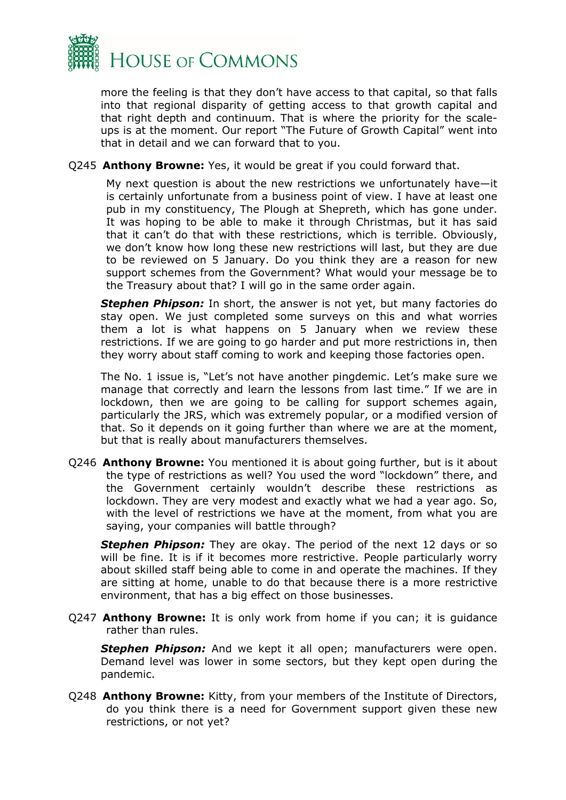

more the feeling is that they don't have access to that capital, so that falls into that regional disparity of getting access to that growth capital and that right depth and continuum. That is where the priority for the scaleups is at the moment. Our report "The Future of Growth Capital" went into that in detail and we can forward that to you.

#### Q245 **Anthony Browne:** Yes, it would be great if you could forward that.

My next question is about the new restrictions we unfortunately have—it is certainly unfortunate from a business point of view. I have at least one pub in my constituency, The Plough at Shepreth, which has gone under. It was hoping to be able to make it through Christmas, but it has said that it can't do that with these restrictions, which is terrible. Obviously, we don't know how long these new restrictions will last, but they are due to be reviewed on 5 January. Do you think they are a reason for new support schemes from the Government? What would your message be to the Treasury about that? I will go in the same order again.

*Stephen Phipson:* In short, the answer is not yet, but many factories do stay open. We just completed some surveys on this and what worries them a lot is what happens on 5 January when we review these restrictions. If we are going to go harder and put more restrictions in, then they worry about staff coming to work and keeping those factories open.

The No. 1 issue is, "Let's not have another pingdemic. Let's make sure we manage that correctly and learn the lessons from last time." If we are in lockdown, then we are going to be calling for support schemes again, particularly the JRS, which was extremely popular, or a modified version of that. So it depends on it going further than where we are at the moment, but that is really about manufacturers themselves.

Q246 **Anthony Browne:** You mentioned it is about going further, but is it about the type of restrictions as well? You used the word "lockdown" there, and the Government certainly wouldn't describe these restrictions as lockdown. They are very modest and exactly what we had a year ago. So, with the level of restrictions we have at the moment, from what you are saying, your companies will battle through?

**Stephen Phipson:** They are okay. The period of the next 12 days or so will be fine. It is if it becomes more restrictive. People particularly worry about skilled staff being able to come in and operate the machines. If they are sitting at home, unable to do that because there is a more restrictive environment, that has a big effect on those businesses.

Q247 **Anthony Browne:** It is only work from home if you can; it is guidance rather than rules.

**Stephen Phipson:** And we kept it all open; manufacturers were open. Demand level was lower in some sectors, but they kept open during the pandemic.

Q248 **Anthony Browne:** Kitty, from your members of the Institute of Directors, do you think there is a need for Government support given these new restrictions, or not yet?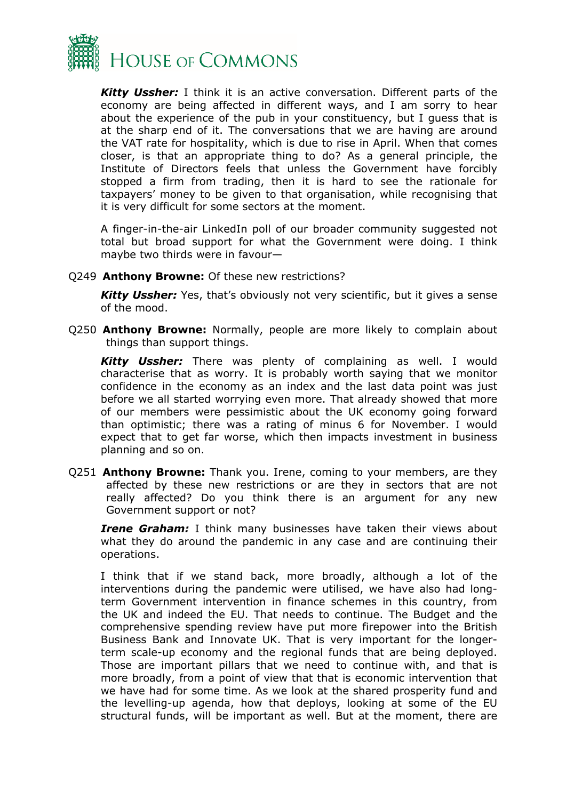

*Kitty Ussher:* I think it is an active conversation. Different parts of the economy are being affected in different ways, and I am sorry to hear about the experience of the pub in your constituency, but I guess that is at the sharp end of it. The conversations that we are having are around the VAT rate for hospitality, which is due to rise in April. When that comes closer, is that an appropriate thing to do? As a general principle, the Institute of Directors feels that unless the Government have forcibly stopped a firm from trading, then it is hard to see the rationale for taxpayers' money to be given to that organisation, while recognising that it is very difficult for some sectors at the moment.

A finger-in-the-air LinkedIn poll of our broader community suggested not total but broad support for what the Government were doing. I think maybe two thirds were in favour—

Q249 **Anthony Browne:** Of these new restrictions?

*Kitty Ussher:* Yes, that's obviously not very scientific, but it gives a sense of the mood.

Q250 **Anthony Browne:** Normally, people are more likely to complain about things than support things.

*Kitty Ussher:* There was plenty of complaining as well. I would characterise that as worry. It is probably worth saying that we monitor confidence in the economy as an index and the last data point was just before we all started worrying even more. That already showed that more of our members were pessimistic about the UK economy going forward than optimistic; there was a rating of minus 6 for November. I would expect that to get far worse, which then impacts investment in business planning and so on.

Q251 **Anthony Browne:** Thank you. Irene, coming to your members, are they affected by these new restrictions or are they in sectors that are not really affected? Do you think there is an argument for any new Government support or not?

*Irene Graham:* I think many businesses have taken their views about what they do around the pandemic in any case and are continuing their operations.

I think that if we stand back, more broadly, although a lot of the interventions during the pandemic were utilised, we have also had longterm Government intervention in finance schemes in this country, from the UK and indeed the EU. That needs to continue. The Budget and the comprehensive spending review have put more firepower into the British Business Bank and Innovate UK. That is very important for the longerterm scale-up economy and the regional funds that are being deployed. Those are important pillars that we need to continue with, and that is more broadly, from a point of view that that is economic intervention that we have had for some time. As we look at the shared prosperity fund and the levelling-up agenda, how that deploys, looking at some of the EU structural funds, will be important as well. But at the moment, there are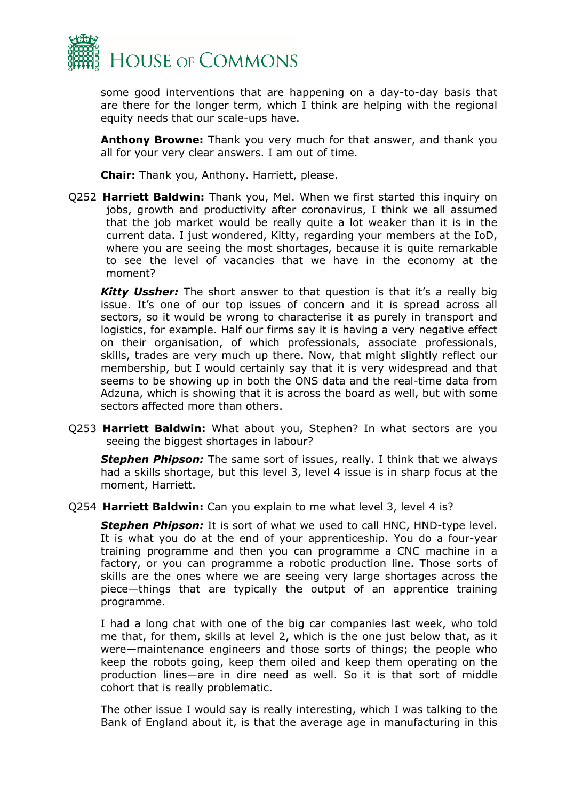

some good interventions that are happening on a day-to-day basis that are there for the longer term, which I think are helping with the regional equity needs that our scale-ups have.

**Anthony Browne:** Thank you very much for that answer, and thank you all for your very clear answers. I am out of time.

**Chair:** Thank you, Anthony. Harriett, please.

Q252 **Harriett Baldwin:** Thank you, Mel. When we first started this inquiry on jobs, growth and productivity after coronavirus, I think we all assumed that the job market would be really quite a lot weaker than it is in the current data. I just wondered, Kitty, regarding your members at the IoD, where you are seeing the most shortages, because it is quite remarkable to see the level of vacancies that we have in the economy at the moment?

*Kitty Ussher:* The short answer to that question is that it's a really big issue. It's one of our top issues of concern and it is spread across all sectors, so it would be wrong to characterise it as purely in transport and logistics, for example. Half our firms say it is having a very negative effect on their organisation, of which professionals, associate professionals, skills, trades are very much up there. Now, that might slightly reflect our membership, but I would certainly say that it is very widespread and that seems to be showing up in both the ONS data and the real-time data from Adzuna, which is showing that it is across the board as well, but with some sectors affected more than others.

Q253 **Harriett Baldwin:** What about you, Stephen? In what sectors are you seeing the biggest shortages in labour?

**Stephen Phipson:** The same sort of issues, really. I think that we always had a skills shortage, but this level 3, level 4 issue is in sharp focus at the moment, Harriett.

Q254 **Harriett Baldwin:** Can you explain to me what level 3, level 4 is?

*Stephen Phipson:* It is sort of what we used to call HNC, HND-type level. It is what you do at the end of your apprenticeship. You do a four-year training programme and then you can programme a CNC machine in a factory, or you can programme a robotic production line. Those sorts of skills are the ones where we are seeing very large shortages across the piece—things that are typically the output of an apprentice training programme.

I had a long chat with one of the big car companies last week, who told me that, for them, skills at level 2, which is the one just below that, as it were—maintenance engineers and those sorts of things; the people who keep the robots going, keep them oiled and keep them operating on the production lines—are in dire need as well. So it is that sort of middle cohort that is really problematic.

The other issue I would say is really interesting, which I was talking to the Bank of England about it, is that the average age in manufacturing in this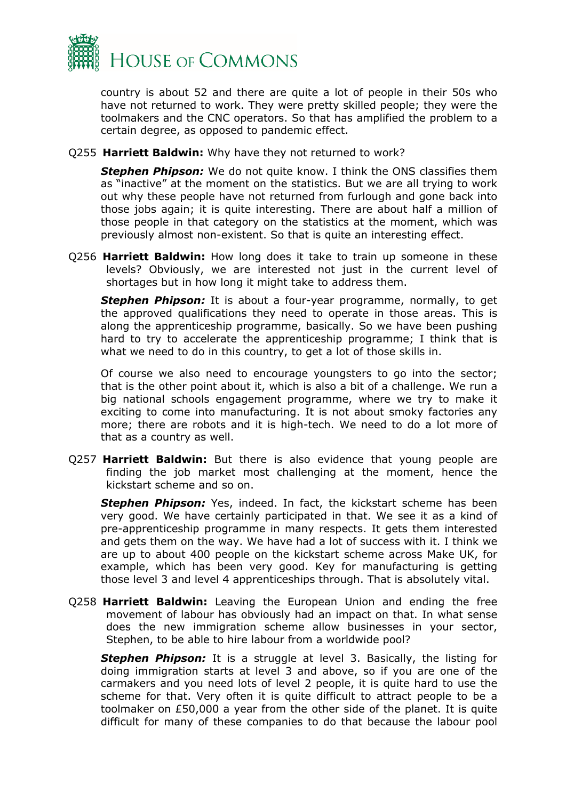

country is about 52 and there are quite a lot of people in their 50s who have not returned to work. They were pretty skilled people; they were the toolmakers and the CNC operators. So that has amplified the problem to a certain degree, as opposed to pandemic effect.

Q255 **Harriett Baldwin:** Why have they not returned to work?

*Stephen Phipson:* We do not quite know. I think the ONS classifies them as "inactive" at the moment on the statistics. But we are all trying to work out why these people have not returned from furlough and gone back into those jobs again; it is quite interesting. There are about half a million of those people in that category on the statistics at the moment, which was previously almost non-existent. So that is quite an interesting effect.

Q256 **Harriett Baldwin:** How long does it take to train up someone in these levels? Obviously, we are interested not just in the current level of shortages but in how long it might take to address them.

*Stephen Phipson:* It is about a four-year programme, normally, to get the approved qualifications they need to operate in those areas. This is along the apprenticeship programme, basically. So we have been pushing hard to try to accelerate the apprenticeship programme; I think that is what we need to do in this country, to get a lot of those skills in.

Of course we also need to encourage youngsters to go into the sector; that is the other point about it, which is also a bit of a challenge. We run a big national schools engagement programme, where we try to make it exciting to come into manufacturing. It is not about smoky factories any more; there are robots and it is high-tech. We need to do a lot more of that as a country as well.

Q257 **Harriett Baldwin:** But there is also evidence that young people are finding the job market most challenging at the moment, hence the kickstart scheme and so on.

*Stephen Phipson:* Yes, indeed. In fact, the kickstart scheme has been very good. We have certainly participated in that. We see it as a kind of pre-apprenticeship programme in many respects. It gets them interested and gets them on the way. We have had a lot of success with it. I think we are up to about 400 people on the kickstart scheme across Make UK, for example, which has been very good. Key for manufacturing is getting those level 3 and level 4 apprenticeships through. That is absolutely vital.

Q258 **Harriett Baldwin:** Leaving the European Union and ending the free movement of labour has obviously had an impact on that. In what sense does the new immigration scheme allow businesses in your sector, Stephen, to be able to hire labour from a worldwide pool?

*Stephen Phipson:* It is a struggle at level 3. Basically, the listing for doing immigration starts at level 3 and above, so if you are one of the carmakers and you need lots of level 2 people, it is quite hard to use the scheme for that. Very often it is quite difficult to attract people to be a toolmaker on £50,000 a year from the other side of the planet. It is quite difficult for many of these companies to do that because the labour pool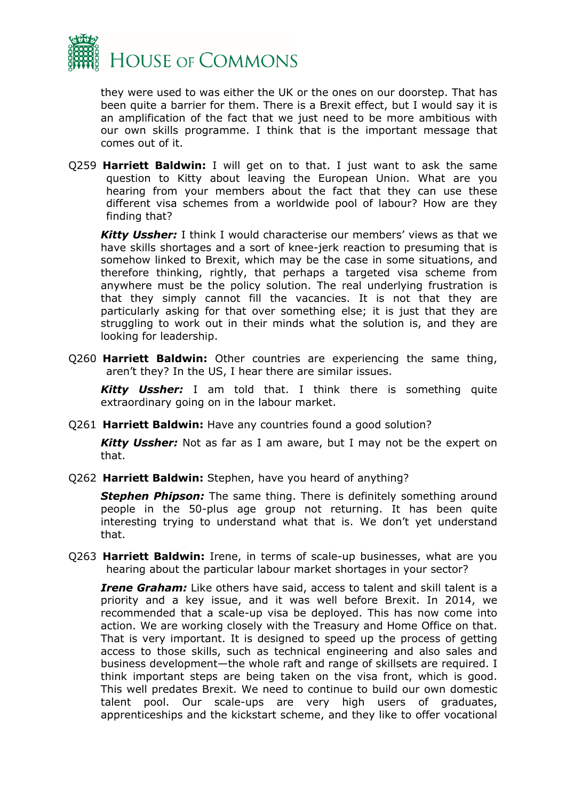

they were used to was either the UK or the ones on our doorstep. That has been quite a barrier for them. There is a Brexit effect, but I would say it is an amplification of the fact that we just need to be more ambitious with our own skills programme. I think that is the important message that comes out of it.

Q259 **Harriett Baldwin:** I will get on to that. I just want to ask the same question to Kitty about leaving the European Union. What are you hearing from your members about the fact that they can use these different visa schemes from a worldwide pool of labour? How are they finding that?

*Kitty Ussher:* I think I would characterise our members' views as that we have skills shortages and a sort of knee-jerk reaction to presuming that is somehow linked to Brexit, which may be the case in some situations, and therefore thinking, rightly, that perhaps a targeted visa scheme from anywhere must be the policy solution. The real underlying frustration is that they simply cannot fill the vacancies. It is not that they are particularly asking for that over something else; it is just that they are struggling to work out in their minds what the solution is, and they are looking for leadership.

Q260 **Harriett Baldwin:** Other countries are experiencing the same thing, aren't they? In the US, I hear there are similar issues.

*Kitty Ussher:* I am told that. I think there is something quite extraordinary going on in the labour market.

Q261 **Harriett Baldwin:** Have any countries found a good solution?

*Kitty Ussher:* Not as far as I am aware, but I may not be the expert on that.

Q262 **Harriett Baldwin:** Stephen, have you heard of anything?

**Stephen Phipson:** The same thing. There is definitely something around people in the 50-plus age group not returning. It has been quite interesting trying to understand what that is. We don't yet understand that.

Q263 **Harriett Baldwin:** Irene, in terms of scale-up businesses, what are you hearing about the particular labour market shortages in your sector?

*Irene Graham:* Like others have said, access to talent and skill talent is a priority and a key issue, and it was well before Brexit. In 2014, we recommended that a scale-up visa be deployed. This has now come into action. We are working closely with the Treasury and Home Office on that. That is very important. It is designed to speed up the process of getting access to those skills, such as technical engineering and also sales and business development—the whole raft and range of skillsets are required. I think important steps are being taken on the visa front, which is good. This well predates Brexit. We need to continue to build our own domestic talent pool. Our scale-ups are very high users of graduates, apprenticeships and the kickstart scheme, and they like to offer vocational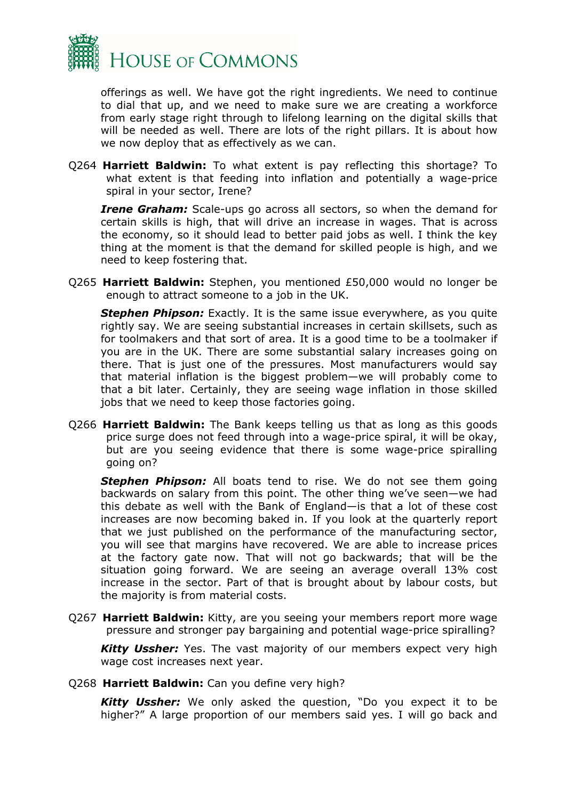

offerings as well. We have got the right ingredients. We need to continue to dial that up, and we need to make sure we are creating a workforce from early stage right through to lifelong learning on the digital skills that will be needed as well. There are lots of the right pillars. It is about how we now deploy that as effectively as we can.

Q264 **Harriett Baldwin:** To what extent is pay reflecting this shortage? To what extent is that feeding into inflation and potentially a wage-price spiral in your sector, Irene?

*Irene Graham:* Scale-ups go across all sectors, so when the demand for certain skills is high, that will drive an increase in wages. That is across the economy, so it should lead to better paid jobs as well. I think the key thing at the moment is that the demand for skilled people is high, and we need to keep fostering that.

Q265 **Harriett Baldwin:** Stephen, you mentioned £50,000 would no longer be enough to attract someone to a job in the UK.

**Stephen Phipson:** Exactly. It is the same issue everywhere, as you quite rightly say. We are seeing substantial increases in certain skillsets, such as for toolmakers and that sort of area. It is a good time to be a toolmaker if you are in the UK. There are some substantial salary increases going on there. That is just one of the pressures. Most manufacturers would say that material inflation is the biggest problem—we will probably come to that a bit later. Certainly, they are seeing wage inflation in those skilled jobs that we need to keep those factories going.

Q266 **Harriett Baldwin:** The Bank keeps telling us that as long as this goods price surge does not feed through into a wage-price spiral, it will be okay, but are you seeing evidence that there is some wage-price spiralling going on?

**Stephen Phipson:** All boats tend to rise. We do not see them going backwards on salary from this point. The other thing we've seen—we had this debate as well with the Bank of England—is that a lot of these cost increases are now becoming baked in. If you look at the quarterly report that we just published on the performance of the manufacturing sector, you will see that margins have recovered. We are able to increase prices at the factory gate now. That will not go backwards; that will be the situation going forward. We are seeing an average overall 13% cost increase in the sector. Part of that is brought about by labour costs, but the majority is from material costs.

Q267 **Harriett Baldwin:** Kitty, are you seeing your members report more wage pressure and stronger pay bargaining and potential wage-price spiralling?

*Kitty Ussher:* Yes. The vast majority of our members expect very high wage cost increases next year.

Q268 **Harriett Baldwin:** Can you define very high?

*Kitty Ussher:* We only asked the question, "Do you expect it to be higher?" A large proportion of our members said yes. I will go back and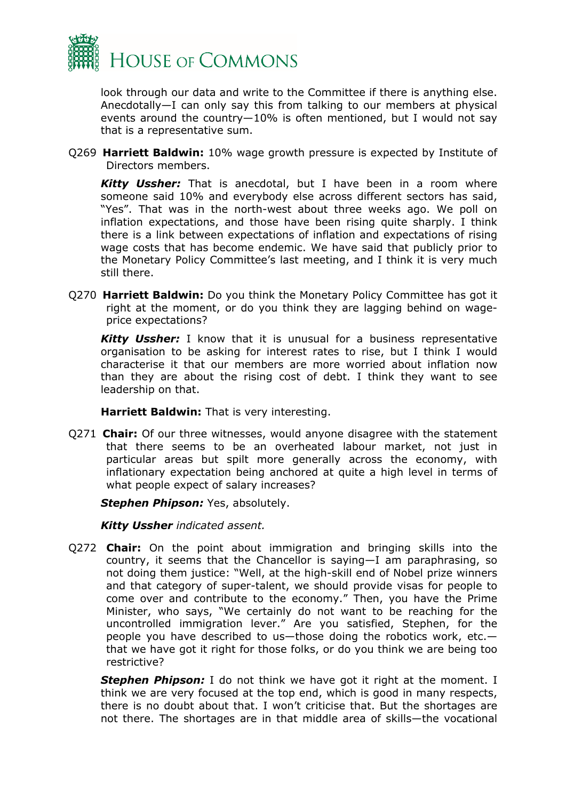

look through our data and write to the Committee if there is anything else. Anecdotally—I can only say this from talking to our members at physical events around the country—10% is often mentioned, but I would not say that is a representative sum.

Q269 **Harriett Baldwin:** 10% wage growth pressure is expected by Institute of Directors members.

*Kitty Ussher:* That is anecdotal, but I have been in a room where someone said 10% and everybody else across different sectors has said, "Yes". That was in the north-west about three weeks ago. We poll on inflation expectations, and those have been rising quite sharply. I think there is a link between expectations of inflation and expectations of rising wage costs that has become endemic. We have said that publicly prior to the Monetary Policy Committee's last meeting, and I think it is very much still there.

Q270 **Harriett Baldwin:** Do you think the Monetary Policy Committee has got it right at the moment, or do you think they are lagging behind on wageprice expectations?

*Kitty Ussher:* I know that it is unusual for a business representative organisation to be asking for interest rates to rise, but I think I would characterise it that our members are more worried about inflation now than they are about the rising cost of debt. I think they want to see leadership on that.

**Harriett Baldwin:** That is very interesting.

Q271 **Chair:** Of our three witnesses, would anyone disagree with the statement that there seems to be an overheated labour market, not just in particular areas but spilt more generally across the economy, with inflationary expectation being anchored at quite a high level in terms of what people expect of salary increases?

**Stephen Phipson:** Yes, absolutely.

*Kitty Ussher indicated assent.*

Q272 **Chair:** On the point about immigration and bringing skills into the country, it seems that the Chancellor is saying—I am paraphrasing, so not doing them justice: "Well, at the high-skill end of Nobel prize winners and that category of super-talent, we should provide visas for people to come over and contribute to the economy." Then, you have the Prime Minister, who says, "We certainly do not want to be reaching for the uncontrolled immigration lever." Are you satisfied, Stephen, for the people you have described to us—those doing the robotics work, etc. that we have got it right for those folks, or do you think we are being too restrictive?

*Stephen Phipson:* I do not think we have got it right at the moment. I think we are very focused at the top end, which is good in many respects, there is no doubt about that. I won't criticise that. But the shortages are not there. The shortages are in that middle area of skills—the vocational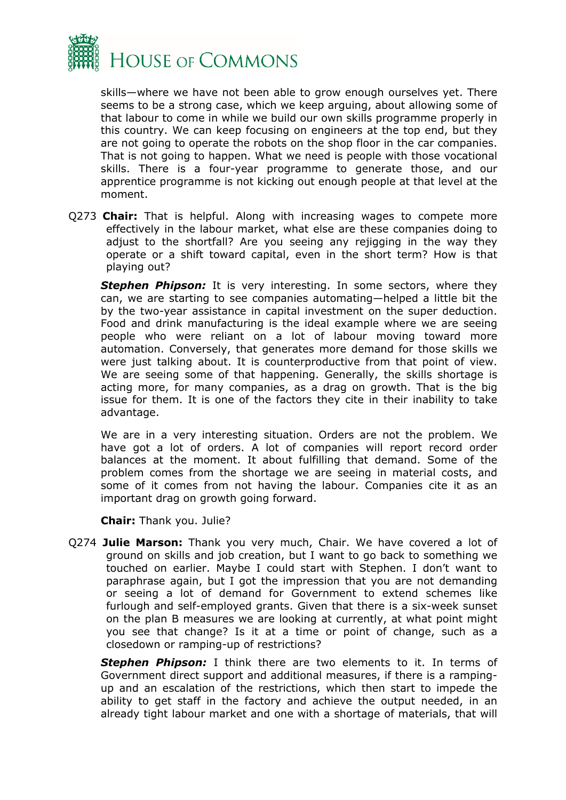

skills—where we have not been able to grow enough ourselves yet. There seems to be a strong case, which we keep arguing, about allowing some of that labour to come in while we build our own skills programme properly in this country. We can keep focusing on engineers at the top end, but they are not going to operate the robots on the shop floor in the car companies. That is not going to happen. What we need is people with those vocational skills. There is a four-year programme to generate those, and our apprentice programme is not kicking out enough people at that level at the moment.

Q273 **Chair:** That is helpful. Along with increasing wages to compete more effectively in the labour market, what else are these companies doing to adjust to the shortfall? Are you seeing any rejigging in the way they operate or a shift toward capital, even in the short term? How is that playing out?

**Stephen Phipson:** It is very interesting. In some sectors, where they can, we are starting to see companies automating—helped a little bit the by the two-year assistance in capital investment on the super deduction. Food and drink manufacturing is the ideal example where we are seeing people who were reliant on a lot of labour moving toward more automation. Conversely, that generates more demand for those skills we were just talking about. It is counterproductive from that point of view. We are seeing some of that happening. Generally, the skills shortage is acting more, for many companies, as a drag on growth. That is the big issue for them. It is one of the factors they cite in their inability to take advantage.

We are in a very interesting situation. Orders are not the problem. We have got a lot of orders. A lot of companies will report record order balances at the moment. It about fulfilling that demand. Some of the problem comes from the shortage we are seeing in material costs, and some of it comes from not having the labour. Companies cite it as an important drag on growth going forward.

**Chair:** Thank you. Julie?

Q274 **Julie Marson:** Thank you very much, Chair. We have covered a lot of ground on skills and job creation, but I want to go back to something we touched on earlier. Maybe I could start with Stephen. I don't want to paraphrase again, but I got the impression that you are not demanding or seeing a lot of demand for Government to extend schemes like furlough and self-employed grants. Given that there is a six-week sunset on the plan B measures we are looking at currently, at what point might you see that change? Is it at a time or point of change, such as a closedown or ramping-up of restrictions?

*Stephen Phipson:* I think there are two elements to it. In terms of Government direct support and additional measures, if there is a rampingup and an escalation of the restrictions, which then start to impede the ability to get staff in the factory and achieve the output needed, in an already tight labour market and one with a shortage of materials, that will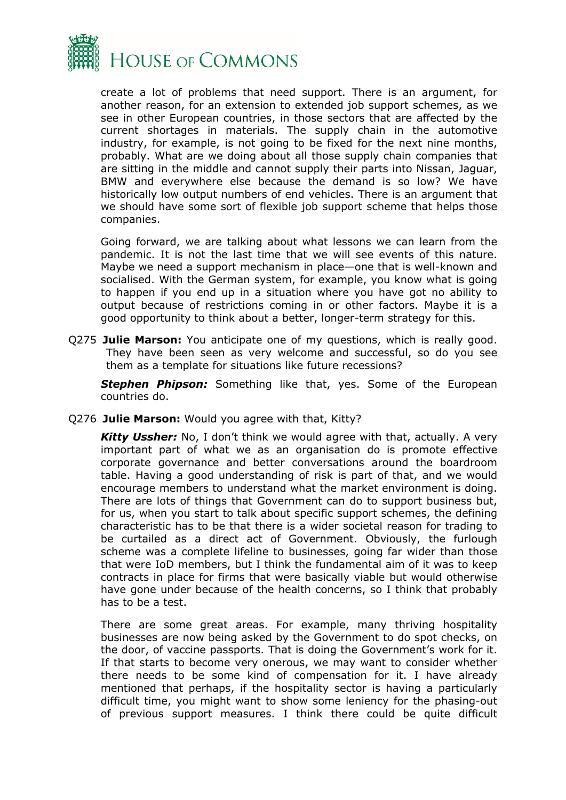

create a lot of problems that need support. There is an argument, for another reason, for an extension to extended job support schemes, as we see in other European countries, in those sectors that are affected by the current shortages in materials. The supply chain in the automotive industry, for example, is not going to be fixed for the next nine months, probably. What are we doing about all those supply chain companies that are sitting in the middle and cannot supply their parts into Nissan, Jaguar, BMW and everywhere else because the demand is so low? We have historically low output numbers of end vehicles. There is an argument that we should have some sort of flexible job support scheme that helps those companies.

Going forward, we are talking about what lessons we can learn from the pandemic. It is not the last time that we will see events of this nature. Maybe we need a support mechanism in place—one that is well-known and socialised. With the German system, for example, you know what is going to happen if you end up in a situation where you have got no ability to output because of restrictions coming in or other factors. Maybe it is a good opportunity to think about a better, longer-term strategy for this.

Q275 **Julie Marson:** You anticipate one of my questions, which is really good. They have been seen as very welcome and successful, so do you see them as a template for situations like future recessions?

*Stephen Phipson:* Something like that, yes. Some of the European countries do.

Q276 **Julie Marson:** Would you agree with that, Kitty?

*Kitty Ussher:* No, I don't think we would agree with that, actually. A very important part of what we as an organisation do is promote effective corporate governance and better conversations around the boardroom table. Having a good understanding of risk is part of that, and we would encourage members to understand what the market environment is doing. There are lots of things that Government can do to support business but, for us, when you start to talk about specific support schemes, the defining characteristic has to be that there is a wider societal reason for trading to be curtailed as a direct act of Government. Obviously, the furlough scheme was a complete lifeline to businesses, going far wider than those that were IoD members, but I think the fundamental aim of it was to keep contracts in place for firms that were basically viable but would otherwise have gone under because of the health concerns, so I think that probably has to be a test.

There are some great areas. For example, many thriving hospitality businesses are now being asked by the Government to do spot checks, on the door, of vaccine passports. That is doing the Government's work for it. If that starts to become very onerous, we may want to consider whether there needs to be some kind of compensation for it. I have already mentioned that perhaps, if the hospitality sector is having a particularly difficult time, you might want to show some leniency for the phasing-out of previous support measures. I think there could be quite difficult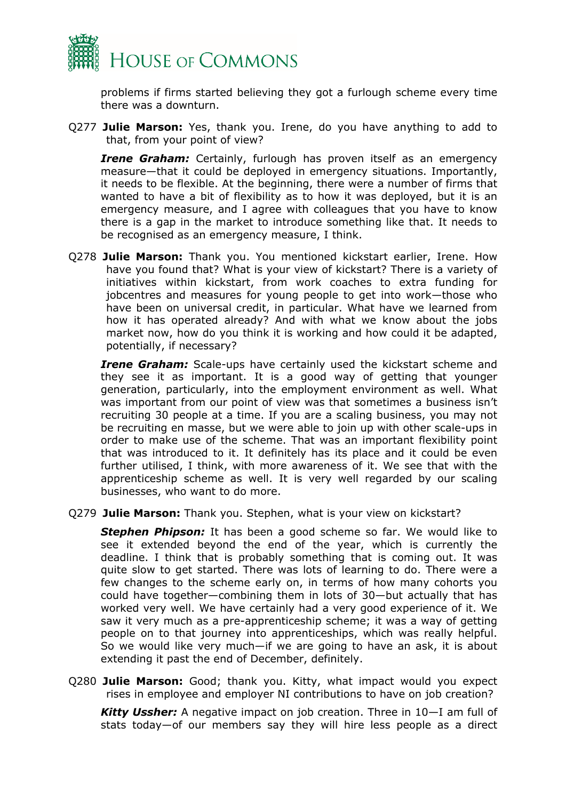

problems if firms started believing they got a furlough scheme every time there was a downturn.

Q277 **Julie Marson:** Yes, thank you. Irene, do you have anything to add to that, from your point of view?

**Irene Graham:** Certainly, furlough has proven itself as an emergency measure—that it could be deployed in emergency situations. Importantly, it needs to be flexible. At the beginning, there were a number of firms that wanted to have a bit of flexibility as to how it was deployed, but it is an emergency measure, and I agree with colleagues that you have to know there is a gap in the market to introduce something like that. It needs to be recognised as an emergency measure, I think.

Q278 **Julie Marson:** Thank you. You mentioned kickstart earlier, Irene. How have you found that? What is your view of kickstart? There is a variety of initiatives within kickstart, from work coaches to extra funding for jobcentres and measures for young people to get into work—those who have been on universal credit, in particular. What have we learned from how it has operated already? And with what we know about the jobs market now, how do you think it is working and how could it be adapted, potentially, if necessary?

*Irene Graham:* Scale-ups have certainly used the kickstart scheme and they see it as important. It is a good way of getting that younger generation, particularly, into the employment environment as well. What was important from our point of view was that sometimes a business isn't recruiting 30 people at a time. If you are a scaling business, you may not be recruiting en masse, but we were able to join up with other scale-ups in order to make use of the scheme. That was an important flexibility point that was introduced to it. It definitely has its place and it could be even further utilised, I think, with more awareness of it. We see that with the apprenticeship scheme as well. It is very well regarded by our scaling businesses, who want to do more.

Q279 **Julie Marson:** Thank you. Stephen, what is your view on kickstart?

**Stephen Phipson:** It has been a good scheme so far. We would like to see it extended beyond the end of the year, which is currently the deadline. I think that is probably something that is coming out. It was quite slow to get started. There was lots of learning to do. There were a few changes to the scheme early on, in terms of how many cohorts you could have together—combining them in lots of 30—but actually that has worked very well. We have certainly had a very good experience of it. We saw it very much as a pre-apprenticeship scheme; it was a way of getting people on to that journey into apprenticeships, which was really helpful. So we would like very much—if we are going to have an ask, it is about extending it past the end of December, definitely.

Q280 **Julie Marson:** Good; thank you. Kitty, what impact would you expect rises in employee and employer NI contributions to have on job creation?

*Kitty Ussher:* A negative impact on job creation. Three in 10—I am full of stats today—of our members say they will hire less people as a direct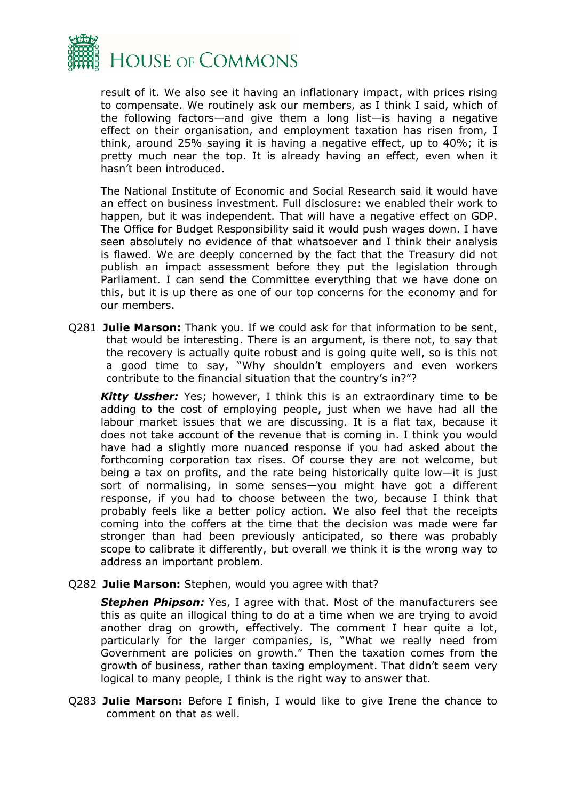

result of it. We also see it having an inflationary impact, with prices rising to compensate. We routinely ask our members, as I think I said, which of the following factors—and give them a long list—is having a negative effect on their organisation, and employment taxation has risen from, I think, around 25% saying it is having a negative effect, up to 40%; it is pretty much near the top. It is already having an effect, even when it hasn't been introduced.

The National Institute of Economic and Social Research said it would have an effect on business investment. Full disclosure: we enabled their work to happen, but it was independent. That will have a negative effect on GDP. The Office for Budget Responsibility said it would push wages down. I have seen absolutely no evidence of that whatsoever and I think their analysis is flawed. We are deeply concerned by the fact that the Treasury did not publish an impact assessment before they put the legislation through Parliament. I can send the Committee everything that we have done on this, but it is up there as one of our top concerns for the economy and for our members.

Q281 **Julie Marson:** Thank you. If we could ask for that information to be sent, that would be interesting. There is an argument, is there not, to say that the recovery is actually quite robust and is going quite well, so is this not a good time to say, "Why shouldn't employers and even workers contribute to the financial situation that the country's in?"?

*Kitty Ussher:* Yes; however, I think this is an extraordinary time to be adding to the cost of employing people, just when we have had all the labour market issues that we are discussing. It is a flat tax, because it does not take account of the revenue that is coming in. I think you would have had a slightly more nuanced response if you had asked about the forthcoming corporation tax rises. Of course they are not welcome, but being a tax on profits, and the rate being historically quite low—it is just sort of normalising, in some senses—you might have got a different response, if you had to choose between the two, because I think that probably feels like a better policy action. We also feel that the receipts coming into the coffers at the time that the decision was made were far stronger than had been previously anticipated, so there was probably scope to calibrate it differently, but overall we think it is the wrong way to address an important problem.

Q282 **Julie Marson:** Stephen, would you agree with that?

*Stephen Phipson:* Yes, I agree with that. Most of the manufacturers see this as quite an illogical thing to do at a time when we are trying to avoid another drag on growth, effectively. The comment I hear quite a lot, particularly for the larger companies, is, "What we really need from Government are policies on growth." Then the taxation comes from the growth of business, rather than taxing employment. That didn't seem very logical to many people, I think is the right way to answer that.

Q283 **Julie Marson:** Before I finish, I would like to give Irene the chance to comment on that as well.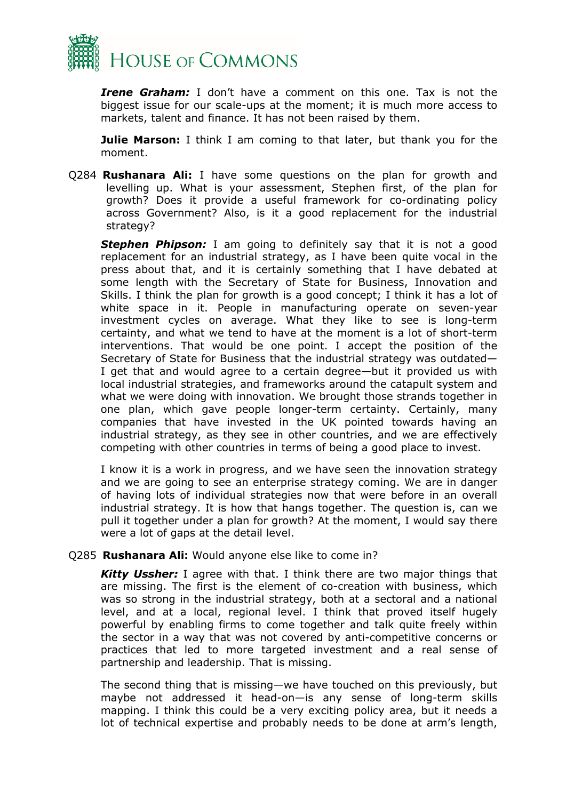

*Irene Graham:* I don't have a comment on this one. Tax is not the biggest issue for our scale-ups at the moment; it is much more access to markets, talent and finance. It has not been raised by them.

**Julie Marson:** I think I am coming to that later, but thank you for the moment.

Q284 **Rushanara Ali:** I have some questions on the plan for growth and levelling up. What is your assessment, Stephen first, of the plan for growth? Does it provide a useful framework for co-ordinating policy across Government? Also, is it a good replacement for the industrial strategy?

**Stephen Phipson:** I am going to definitely say that it is not a good replacement for an industrial strategy, as I have been quite vocal in the press about that, and it is certainly something that I have debated at some length with the Secretary of State for Business, Innovation and Skills. I think the plan for growth is a good concept; I think it has a lot of white space in it. People in manufacturing operate on seven-year investment cycles on average. What they like to see is long-term certainty, and what we tend to have at the moment is a lot of short-term interventions. That would be one point. I accept the position of the Secretary of State for Business that the industrial strategy was outdated— I get that and would agree to a certain degree—but it provided us with local industrial strategies, and frameworks around the catapult system and what we were doing with innovation. We brought those strands together in one plan, which gave people longer-term certainty. Certainly, many companies that have invested in the UK pointed towards having an industrial strategy, as they see in other countries, and we are effectively competing with other countries in terms of being a good place to invest.

I know it is a work in progress, and we have seen the innovation strategy and we are going to see an enterprise strategy coming. We are in danger of having lots of individual strategies now that were before in an overall industrial strategy. It is how that hangs together. The question is, can we pull it together under a plan for growth? At the moment, I would say there were a lot of gaps at the detail level.

#### Q285 **Rushanara Ali:** Would anyone else like to come in?

*Kitty Ussher:* I agree with that. I think there are two major things that are missing. The first is the element of co-creation with business, which was so strong in the industrial strategy, both at a sectoral and a national level, and at a local, regional level. I think that proved itself hugely powerful by enabling firms to come together and talk quite freely within the sector in a way that was not covered by anti-competitive concerns or practices that led to more targeted investment and a real sense of partnership and leadership. That is missing.

The second thing that is missing—we have touched on this previously, but maybe not addressed it head-on—is any sense of long-term skills mapping. I think this could be a very exciting policy area, but it needs a lot of technical expertise and probably needs to be done at arm's length,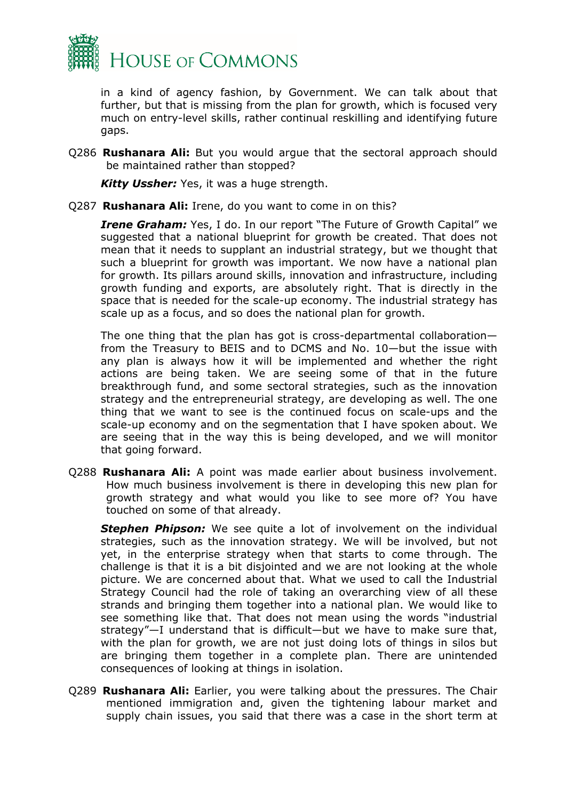

in a kind of agency fashion, by Government. We can talk about that further, but that is missing from the plan for growth, which is focused very much on entry-level skills, rather continual reskilling and identifying future gaps.

Q286 **Rushanara Ali:** But you would argue that the sectoral approach should be maintained rather than stopped?

*Kitty Ussher:* Yes, it was a huge strength.

Q287 **Rushanara Ali:** Irene, do you want to come in on this?

*Irene Graham:* Yes, I do. In our report "The Future of Growth Capital" we suggested that a national blueprint for growth be created. That does not mean that it needs to supplant an industrial strategy, but we thought that such a blueprint for growth was important. We now have a national plan for growth. Its pillars around skills, innovation and infrastructure, including growth funding and exports, are absolutely right. That is directly in the space that is needed for the scale-up economy. The industrial strategy has scale up as a focus, and so does the national plan for growth.

The one thing that the plan has got is cross-departmental collaboration from the Treasury to BEIS and to DCMS and No. 10—but the issue with any plan is always how it will be implemented and whether the right actions are being taken. We are seeing some of that in the future breakthrough fund, and some sectoral strategies, such as the innovation strategy and the entrepreneurial strategy, are developing as well. The one thing that we want to see is the continued focus on scale-ups and the scale-up economy and on the segmentation that I have spoken about. We are seeing that in the way this is being developed, and we will monitor that going forward.

Q288 **Rushanara Ali:** A point was made earlier about business involvement. How much business involvement is there in developing this new plan for growth strategy and what would you like to see more of? You have touched on some of that already.

*Stephen Phipson:* We see quite a lot of involvement on the individual strategies, such as the innovation strategy. We will be involved, but not yet, in the enterprise strategy when that starts to come through. The challenge is that it is a bit disjointed and we are not looking at the whole picture. We are concerned about that. What we used to call the Industrial Strategy Council had the role of taking an overarching view of all these strands and bringing them together into a national plan. We would like to see something like that. That does not mean using the words "industrial strategy"—I understand that is difficult—but we have to make sure that, with the plan for growth, we are not just doing lots of things in silos but are bringing them together in a complete plan. There are unintended consequences of looking at things in isolation.

Q289 **Rushanara Ali:** Earlier, you were talking about the pressures. The Chair mentioned immigration and, given the tightening labour market and supply chain issues, you said that there was a case in the short term at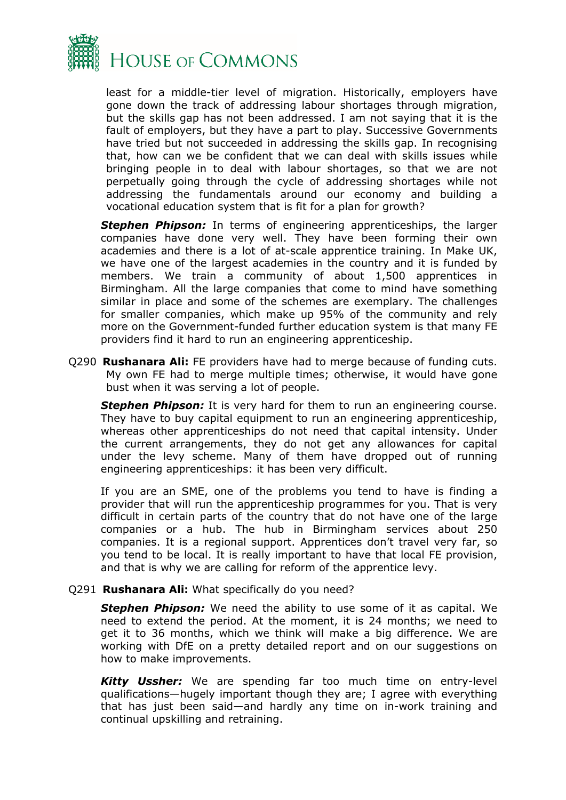

least for a middle-tier level of migration. Historically, employers have gone down the track of addressing labour shortages through migration, but the skills gap has not been addressed. I am not saying that it is the fault of employers, but they have a part to play. Successive Governments have tried but not succeeded in addressing the skills gap. In recognising that, how can we be confident that we can deal with skills issues while bringing people in to deal with labour shortages, so that we are not perpetually going through the cycle of addressing shortages while not addressing the fundamentals around our economy and building a vocational education system that is fit for a plan for growth?

**Stephen Phipson:** In terms of engineering apprenticeships, the larger companies have done very well. They have been forming their own academies and there is a lot of at-scale apprentice training. In Make UK, we have one of the largest academies in the country and it is funded by members. We train a community of about 1,500 apprentices in Birmingham. All the large companies that come to mind have something similar in place and some of the schemes are exemplary. The challenges for smaller companies, which make up 95% of the community and rely more on the Government-funded further education system is that many FE providers find it hard to run an engineering apprenticeship.

Q290 **Rushanara Ali:** FE providers have had to merge because of funding cuts. My own FE had to merge multiple times; otherwise, it would have gone bust when it was serving a lot of people.

**Stephen Phipson:** It is very hard for them to run an engineering course. They have to buy capital equipment to run an engineering apprenticeship, whereas other apprenticeships do not need that capital intensity. Under the current arrangements, they do not get any allowances for capital under the levy scheme. Many of them have dropped out of running engineering apprenticeships: it has been very difficult.

If you are an SME, one of the problems you tend to have is finding a provider that will run the apprenticeship programmes for you. That is very difficult in certain parts of the country that do not have one of the large companies or a hub. The hub in Birmingham services about 250 companies. It is a regional support. Apprentices don't travel very far, so you tend to be local. It is really important to have that local FE provision, and that is why we are calling for reform of the apprentice levy.

#### Q291 **Rushanara Ali:** What specifically do you need?

*Stephen Phipson:* We need the ability to use some of it as capital. We need to extend the period. At the moment, it is 24 months; we need to get it to 36 months, which we think will make a big difference. We are working with DfE on a pretty detailed report and on our suggestions on how to make improvements.

*Kitty Ussher:* We are spending far too much time on entry-level qualifications—hugely important though they are; I agree with everything that has just been said—and hardly any time on in-work training and continual upskilling and retraining.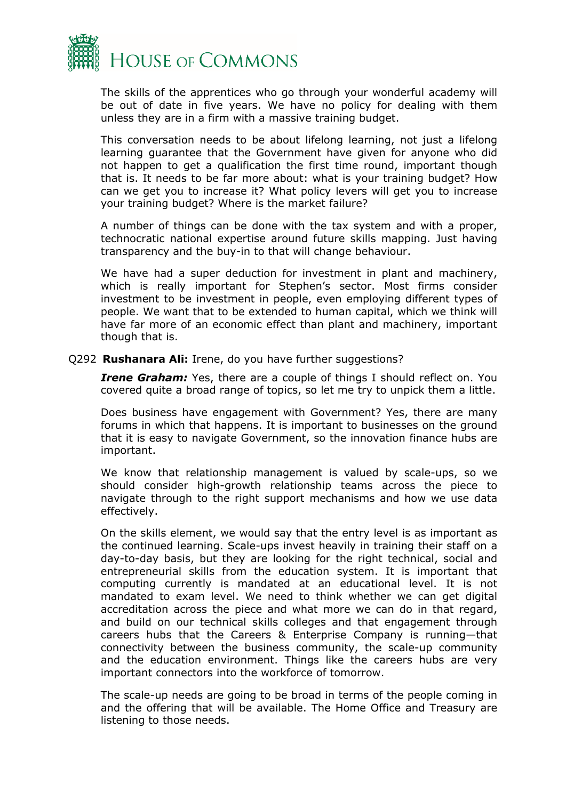

The skills of the apprentices who go through your wonderful academy will be out of date in five years. We have no policy for dealing with them unless they are in a firm with a massive training budget.

This conversation needs to be about lifelong learning, not just a lifelong learning guarantee that the Government have given for anyone who did not happen to get a qualification the first time round, important though that is. It needs to be far more about: what is your training budget? How can we get you to increase it? What policy levers will get you to increase your training budget? Where is the market failure?

A number of things can be done with the tax system and with a proper, technocratic national expertise around future skills mapping. Just having transparency and the buy-in to that will change behaviour.

We have had a super deduction for investment in plant and machinery, which is really important for Stephen's sector. Most firms consider investment to be investment in people, even employing different types of people. We want that to be extended to human capital, which we think will have far more of an economic effect than plant and machinery, important though that is.

#### Q292 **Rushanara Ali:** Irene, do you have further suggestions?

*Irene Graham:* Yes, there are a couple of things I should reflect on. You covered quite a broad range of topics, so let me try to unpick them a little.

Does business have engagement with Government? Yes, there are many forums in which that happens. It is important to businesses on the ground that it is easy to navigate Government, so the innovation finance hubs are important.

We know that relationship management is valued by scale-ups, so we should consider high-growth relationship teams across the piece to navigate through to the right support mechanisms and how we use data effectively.

On the skills element, we would say that the entry level is as important as the continued learning. Scale-ups invest heavily in training their staff on a day-to-day basis, but they are looking for the right technical, social and entrepreneurial skills from the education system. It is important that computing currently is mandated at an educational level. It is not mandated to exam level. We need to think whether we can get digital accreditation across the piece and what more we can do in that regard, and build on our technical skills colleges and that engagement through careers hubs that the Careers & Enterprise Company is running—that connectivity between the business community, the scale-up community and the education environment. Things like the careers hubs are very important connectors into the workforce of tomorrow.

The scale-up needs are going to be broad in terms of the people coming in and the offering that will be available. The Home Office and Treasury are listening to those needs.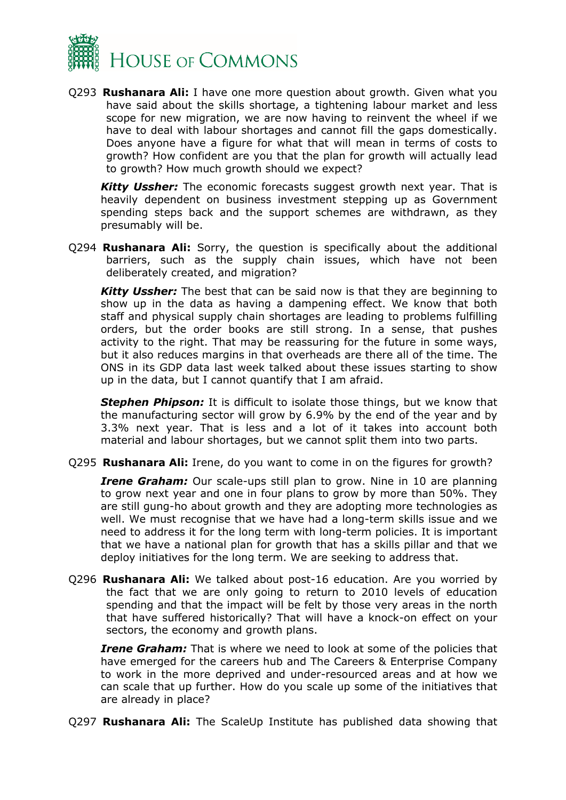

Q293 **Rushanara Ali:** I have one more question about growth. Given what you have said about the skills shortage, a tightening labour market and less scope for new migration, we are now having to reinvent the wheel if we have to deal with labour shortages and cannot fill the gaps domestically. Does anyone have a figure for what that will mean in terms of costs to growth? How confident are you that the plan for growth will actually lead to growth? How much growth should we expect?

*Kitty Ussher:* The economic forecasts suggest growth next year. That is heavily dependent on business investment stepping up as Government spending steps back and the support schemes are withdrawn, as they presumably will be.

Q294 **Rushanara Ali:** Sorry, the question is specifically about the additional barriers, such as the supply chain issues, which have not been deliberately created, and migration?

*Kitty Ussher:* The best that can be said now is that they are beginning to show up in the data as having a dampening effect. We know that both staff and physical supply chain shortages are leading to problems fulfilling orders, but the order books are still strong. In a sense, that pushes activity to the right. That may be reassuring for the future in some ways, but it also reduces margins in that overheads are there all of the time. The ONS in its GDP data last week talked about these issues starting to show up in the data, but I cannot quantify that I am afraid.

**Stephen Phipson:** It is difficult to isolate those things, but we know that the manufacturing sector will grow by 6.9% by the end of the year and by 3.3% next year. That is less and a lot of it takes into account both material and labour shortages, but we cannot split them into two parts.

Q295 **Rushanara Ali:** Irene, do you want to come in on the figures for growth?

*Irene Graham:* Our scale-ups still plan to grow. Nine in 10 are planning to grow next year and one in four plans to grow by more than 50%. They are still gung-ho about growth and they are adopting more technologies as well. We must recognise that we have had a long-term skills issue and we need to address it for the long term with long-term policies. It is important that we have a national plan for growth that has a skills pillar and that we deploy initiatives for the long term. We are seeking to address that.

Q296 **Rushanara Ali:** We talked about post-16 education. Are you worried by the fact that we are only going to return to 2010 levels of education spending and that the impact will be felt by those very areas in the north that have suffered historically? That will have a knock-on effect on your sectors, the economy and growth plans.

*Irene Graham:* That is where we need to look at some of the policies that have emerged for the careers hub and The Careers & Enterprise Company to work in the more deprived and under-resourced areas and at how we can scale that up further. How do you scale up some of the initiatives that are already in place?

Q297 **Rushanara Ali:** The ScaleUp Institute has published data showing that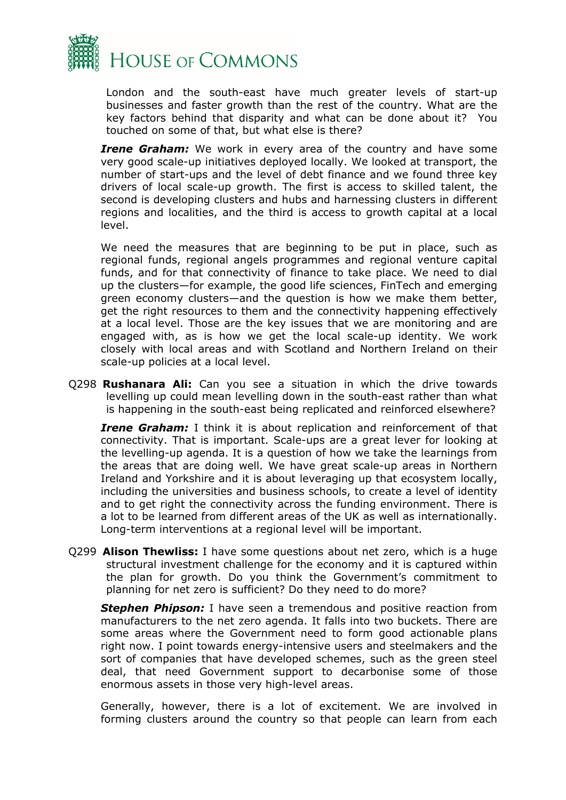

London and the south-east have much greater levels of start-up businesses and faster growth than the rest of the country. What are the key factors behind that disparity and what can be done about it? You touched on some of that, but what else is there?

**Irene Graham:** We work in every area of the country and have some very good scale-up initiatives deployed locally. We looked at transport, the number of start-ups and the level of debt finance and we found three key drivers of local scale-up growth. The first is access to skilled talent, the second is developing clusters and hubs and harnessing clusters in different regions and localities, and the third is access to growth capital at a local level.

We need the measures that are beginning to be put in place, such as regional funds, regional angels programmes and regional venture capital funds, and for that connectivity of finance to take place. We need to dial up the clusters—for example, the good life sciences, FinTech and emerging green economy clusters—and the question is how we make them better, get the right resources to them and the connectivity happening effectively at a local level. Those are the key issues that we are monitoring and are engaged with, as is how we get the local scale-up identity. We work closely with local areas and with Scotland and Northern Ireland on their scale-up policies at a local level.

Q298 **Rushanara Ali:** Can you see a situation in which the drive towards levelling up could mean levelling down in the south-east rather than what is happening in the south-east being replicated and reinforced elsewhere?

*Irene Graham:* I think it is about replication and reinforcement of that connectivity. That is important. Scale-ups are a great lever for looking at the levelling-up agenda. It is a question of how we take the learnings from the areas that are doing well. We have great scale-up areas in Northern Ireland and Yorkshire and it is about leveraging up that ecosystem locally, including the universities and business schools, to create a level of identity and to get right the connectivity across the funding environment. There is a lot to be learned from different areas of the UK as well as internationally. Long-term interventions at a regional level will be important.

Q299 **Alison Thewliss:** I have some questions about net zero, which is a huge structural investment challenge for the economy and it is captured within the plan for growth. Do you think the Government's commitment to planning for net zero is sufficient? Do they need to do more?

*Stephen Phipson:* I have seen a tremendous and positive reaction from manufacturers to the net zero agenda. It falls into two buckets. There are some areas where the Government need to form good actionable plans right now. I point towards energy-intensive users and steelmakers and the sort of companies that have developed schemes, such as the green steel deal, that need Government support to decarbonise some of those enormous assets in those very high-level areas.

Generally, however, there is a lot of excitement. We are involved in forming clusters around the country so that people can learn from each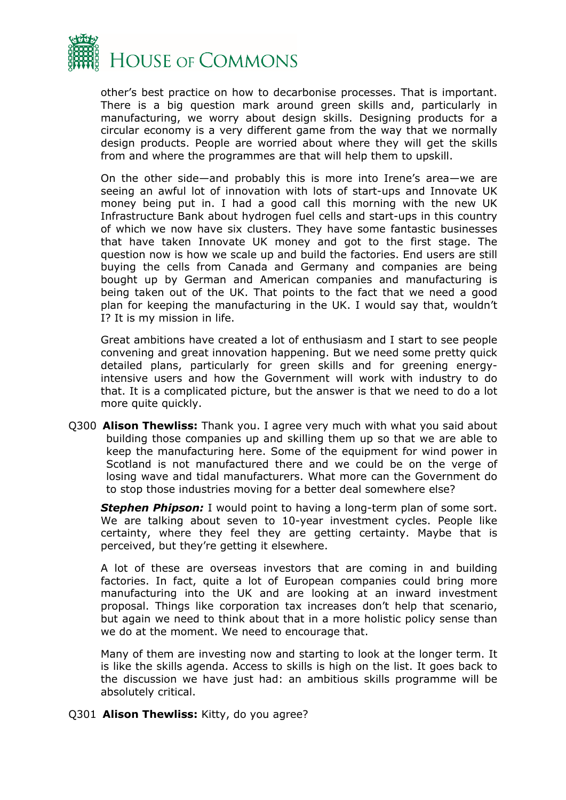

other's best practice on how to decarbonise processes. That is important. There is a big question mark around green skills and, particularly in manufacturing, we worry about design skills. Designing products for a circular economy is a very different game from the way that we normally design products. People are worried about where they will get the skills from and where the programmes are that will help them to upskill.

On the other side—and probably this is more into Irene's area—we are seeing an awful lot of innovation with lots of start-ups and Innovate UK money being put in. I had a good call this morning with the new UK Infrastructure Bank about hydrogen fuel cells and start-ups in this country of which we now have six clusters. They have some fantastic businesses that have taken Innovate UK money and got to the first stage. The question now is how we scale up and build the factories. End users are still buying the cells from Canada and Germany and companies are being bought up by German and American companies and manufacturing is being taken out of the UK. That points to the fact that we need a good plan for keeping the manufacturing in the UK. I would say that, wouldn't I? It is my mission in life.

Great ambitions have created a lot of enthusiasm and I start to see people convening and great innovation happening. But we need some pretty quick detailed plans, particularly for green skills and for greening energyintensive users and how the Government will work with industry to do that. It is a complicated picture, but the answer is that we need to do a lot more quite quickly.

Q300 **Alison Thewliss:** Thank you. I agree very much with what you said about building those companies up and skilling them up so that we are able to keep the manufacturing here. Some of the equipment for wind power in Scotland is not manufactured there and we could be on the verge of losing wave and tidal manufacturers. What more can the Government do to stop those industries moving for a better deal somewhere else?

**Stephen Phipson:** I would point to having a long-term plan of some sort. We are talking about seven to 10-year investment cycles. People like certainty, where they feel they are getting certainty. Maybe that is perceived, but they're getting it elsewhere.

A lot of these are overseas investors that are coming in and building factories. In fact, quite a lot of European companies could bring more manufacturing into the UK and are looking at an inward investment proposal. Things like corporation tax increases don't help that scenario, but again we need to think about that in a more holistic policy sense than we do at the moment. We need to encourage that.

Many of them are investing now and starting to look at the longer term. It is like the skills agenda. Access to skills is high on the list. It goes back to the discussion we have just had: an ambitious skills programme will be absolutely critical.

Q301 **Alison Thewliss:** Kitty, do you agree?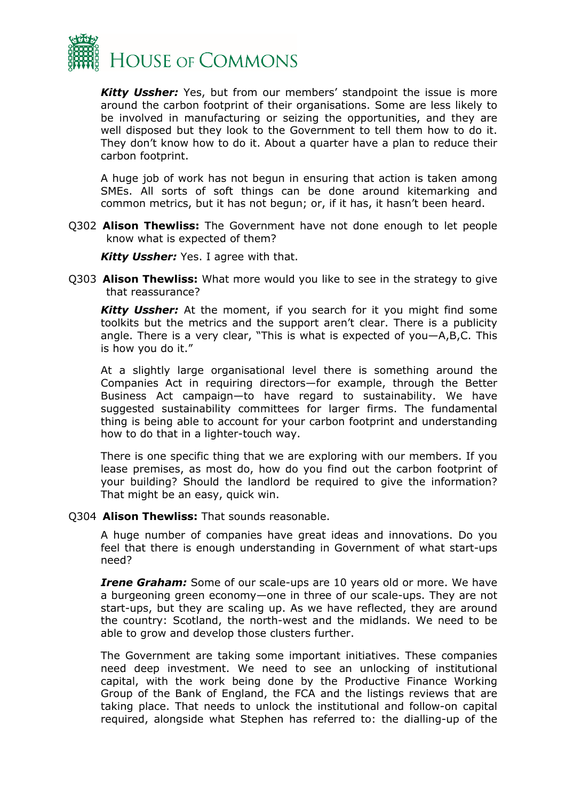

*Kitty Ussher:* Yes, but from our members' standpoint the issue is more around the carbon footprint of their organisations. Some are less likely to be involved in manufacturing or seizing the opportunities, and they are well disposed but they look to the Government to tell them how to do it. They don't know how to do it. About a quarter have a plan to reduce their carbon footprint.

A huge job of work has not begun in ensuring that action is taken among SMEs. All sorts of soft things can be done around kitemarking and common metrics, but it has not begun; or, if it has, it hasn't been heard.

Q302 **Alison Thewliss:** The Government have not done enough to let people know what is expected of them?

*Kitty Ussher:* Yes. I agree with that.

Q303 **Alison Thewliss:** What more would you like to see in the strategy to give that reassurance?

*Kitty Ussher:* At the moment, if you search for it you might find some toolkits but the metrics and the support aren't clear. There is a publicity angle. There is a very clear, "This is what is expected of you—A,B,C. This is how you do it."

At a slightly large organisational level there is something around the Companies Act in requiring directors—for example, through the Better Business Act campaign—to have regard to sustainability. We have suggested sustainability committees for larger firms. The fundamental thing is being able to account for your carbon footprint and understanding how to do that in a lighter-touch way.

There is one specific thing that we are exploring with our members. If you lease premises, as most do, how do you find out the carbon footprint of your building? Should the landlord be required to give the information? That might be an easy, quick win.

Q304 **Alison Thewliss:** That sounds reasonable.

A huge number of companies have great ideas and innovations. Do you feel that there is enough understanding in Government of what start-ups need?

*Irene Graham:* Some of our scale-ups are 10 years old or more. We have a burgeoning green economy—one in three of our scale-ups. They are not start-ups, but they are scaling up. As we have reflected, they are around the country: Scotland, the north-west and the midlands. We need to be able to grow and develop those clusters further.

The Government are taking some important initiatives. These companies need deep investment. We need to see an unlocking of institutional capital, with the work being done by the Productive Finance Working Group of the Bank of England, the FCA and the listings reviews that are taking place. That needs to unlock the institutional and follow-on capital required, alongside what Stephen has referred to: the dialling-up of the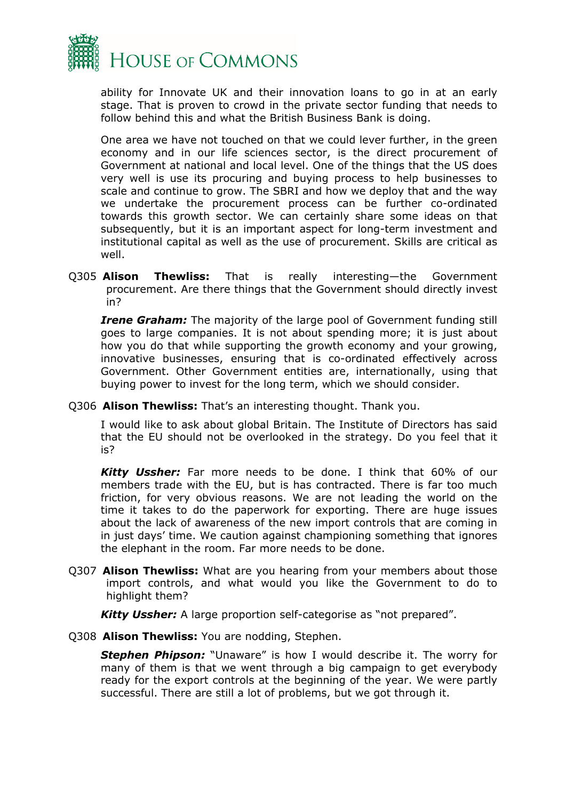

ability for Innovate UK and their innovation loans to go in at an early stage. That is proven to crowd in the private sector funding that needs to follow behind this and what the British Business Bank is doing.

One area we have not touched on that we could lever further, in the green economy and in our life sciences sector, is the direct procurement of Government at national and local level. One of the things that the US does very well is use its procuring and buying process to help businesses to scale and continue to grow. The SBRI and how we deploy that and the way we undertake the procurement process can be further co-ordinated towards this growth sector. We can certainly share some ideas on that subsequently, but it is an important aspect for long-term investment and institutional capital as well as the use of procurement. Skills are critical as well.

Q305 **Alison Thewliss:** That is really interesting—the Government procurement. Are there things that the Government should directly invest in?

*Irene Graham:* The majority of the large pool of Government funding still goes to large companies. It is not about spending more; it is just about how you do that while supporting the growth economy and your growing, innovative businesses, ensuring that is co-ordinated effectively across Government. Other Government entities are, internationally, using that buying power to invest for the long term, which we should consider.

Q306 **Alison Thewliss:** That's an interesting thought. Thank you.

I would like to ask about global Britain. The Institute of Directors has said that the EU should not be overlooked in the strategy. Do you feel that it is?

*Kitty Ussher:* Far more needs to be done. I think that 60% of our members trade with the EU, but is has contracted. There is far too much friction, for very obvious reasons. We are not leading the world on the time it takes to do the paperwork for exporting. There are huge issues about the lack of awareness of the new import controls that are coming in in just days' time. We caution against championing something that ignores the elephant in the room. Far more needs to be done.

Q307 **Alison Thewliss:** What are you hearing from your members about those import controls, and what would you like the Government to do to highlight them?

*Kitty Ussher:* A large proportion self-categorise as "not prepared".

Q308 **Alison Thewliss:** You are nodding, Stephen.

**Stephen Phipson:** "Unaware" is how I would describe it. The worry for many of them is that we went through a big campaign to get everybody ready for the export controls at the beginning of the year. We were partly successful. There are still a lot of problems, but we got through it.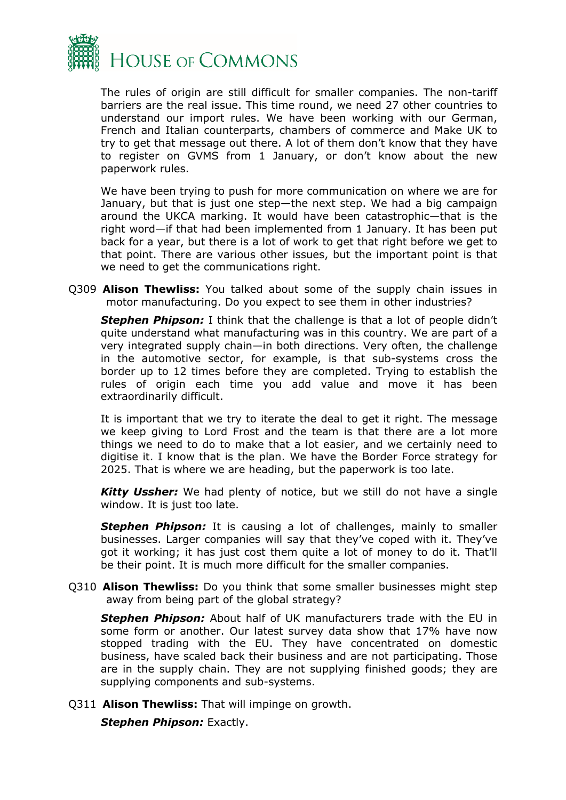

The rules of origin are still difficult for smaller companies. The non-tariff barriers are the real issue. This time round, we need 27 other countries to understand our import rules. We have been working with our German, French and Italian counterparts, chambers of commerce and Make UK to try to get that message out there. A lot of them don't know that they have to register on GVMS from 1 January, or don't know about the new paperwork rules.

We have been trying to push for more communication on where we are for January, but that is just one step—the next step. We had a big campaign around the UKCA marking. It would have been catastrophic—that is the right word—if that had been implemented from 1 January. It has been put back for a year, but there is a lot of work to get that right before we get to that point. There are various other issues, but the important point is that we need to get the communications right.

Q309 **Alison Thewliss:** You talked about some of the supply chain issues in motor manufacturing. Do you expect to see them in other industries?

**Stephen Phipson:** I think that the challenge is that a lot of people didn't quite understand what manufacturing was in this country. We are part of a very integrated supply chain—in both directions. Very often, the challenge in the automotive sector, for example, is that sub-systems cross the border up to 12 times before they are completed. Trying to establish the rules of origin each time you add value and move it has been extraordinarily difficult.

It is important that we try to iterate the deal to get it right. The message we keep giving to Lord Frost and the team is that there are a lot more things we need to do to make that a lot easier, and we certainly need to digitise it. I know that is the plan. We have the Border Force strategy for 2025. That is where we are heading, but the paperwork is too late.

*Kitty Ussher:* We had plenty of notice, but we still do not have a single window. It is just too late.

*Stephen Phipson:* It is causing a lot of challenges, mainly to smaller businesses. Larger companies will say that they've coped with it. They've got it working; it has just cost them quite a lot of money to do it. That'll be their point. It is much more difficult for the smaller companies.

Q310 **Alison Thewliss:** Do you think that some smaller businesses might step away from being part of the global strategy?

*Stephen Phipson:* About half of UK manufacturers trade with the EU in some form or another. Our latest survey data show that 17% have now stopped trading with the EU. They have concentrated on domestic business, have scaled back their business and are not participating. Those are in the supply chain. They are not supplying finished goods; they are supplying components and sub-systems.

Q311 **Alison Thewliss:** That will impinge on growth.

*Stephen Phipson:* Exactly.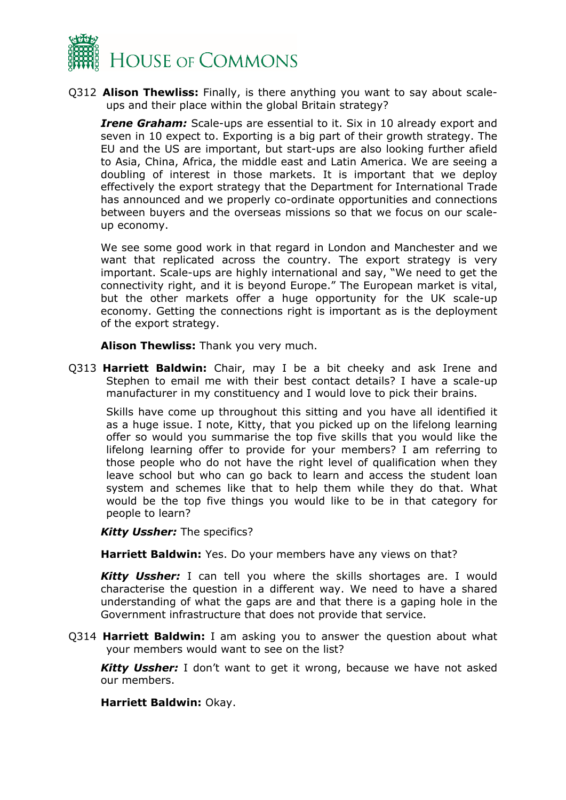

Q312 **Alison Thewliss:** Finally, is there anything you want to say about scaleups and their place within the global Britain strategy?

*Irene Graham:* Scale-ups are essential to it. Six in 10 already export and seven in 10 expect to. Exporting is a big part of their growth strategy. The EU and the US are important, but start-ups are also looking further afield to Asia, China, Africa, the middle east and Latin America. We are seeing a doubling of interest in those markets. It is important that we deploy effectively the export strategy that the Department for International Trade has announced and we properly co-ordinate opportunities and connections between buyers and the overseas missions so that we focus on our scaleup economy.

We see some good work in that regard in London and Manchester and we want that replicated across the country. The export strategy is very important. Scale-ups are highly international and say, "We need to get the connectivity right, and it is beyond Europe." The European market is vital, but the other markets offer a huge opportunity for the UK scale-up economy. Getting the connections right is important as is the deployment of the export strategy.

**Alison Thewliss:** Thank you very much.

Q313 **Harriett Baldwin:** Chair, may I be a bit cheeky and ask Irene and Stephen to email me with their best contact details? I have a scale-up manufacturer in my constituency and I would love to pick their brains.

Skills have come up throughout this sitting and you have all identified it as a huge issue. I note, Kitty, that you picked up on the lifelong learning offer so would you summarise the top five skills that you would like the lifelong learning offer to provide for your members? I am referring to those people who do not have the right level of qualification when they leave school but who can go back to learn and access the student loan system and schemes like that to help them while they do that. What would be the top five things you would like to be in that category for people to learn?

*Kitty Ussher:* The specifics?

**Harriett Baldwin:** Yes. Do your members have any views on that?

*Kitty Ussher:* I can tell you where the skills shortages are. I would characterise the question in a different way. We need to have a shared understanding of what the gaps are and that there is a gaping hole in the Government infrastructure that does not provide that service.

Q314 **Harriett Baldwin:** I am asking you to answer the question about what your members would want to see on the list?

*Kitty Ussher:* I don't want to get it wrong, because we have not asked our members.

**Harriett Baldwin:** Okay.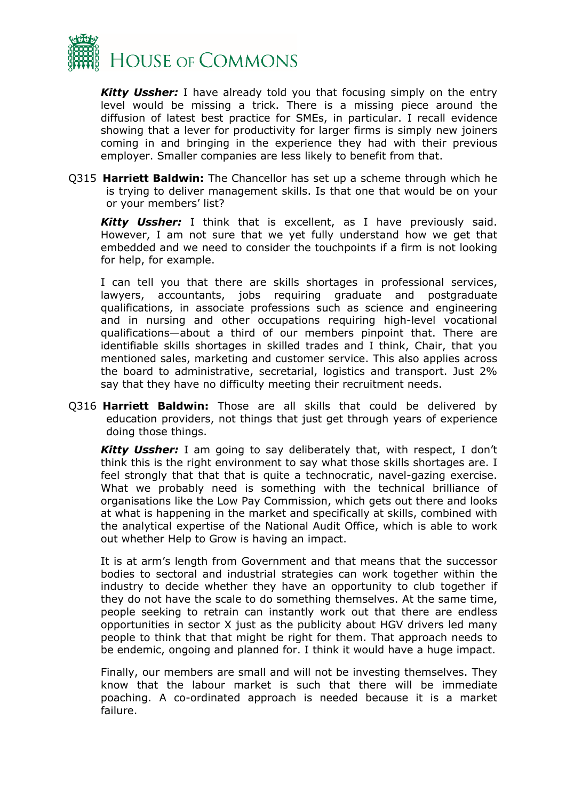

*Kitty Ussher:* I have already told you that focusing simply on the entry level would be missing a trick. There is a missing piece around the diffusion of latest best practice for SMEs, in particular. I recall evidence showing that a lever for productivity for larger firms is simply new joiners coming in and bringing in the experience they had with their previous employer. Smaller companies are less likely to benefit from that.

Q315 **Harriett Baldwin:** The Chancellor has set up a scheme through which he is trying to deliver management skills. Is that one that would be on your or your members' list?

*Kitty Ussher:* I think that is excellent, as I have previously said. However, I am not sure that we yet fully understand how we get that embedded and we need to consider the touchpoints if a firm is not looking for help, for example.

I can tell you that there are skills shortages in professional services, lawyers, accountants, jobs requiring graduate and postgraduate qualifications, in associate professions such as science and engineering and in nursing and other occupations requiring high-level vocational qualifications—about a third of our members pinpoint that. There are identifiable skills shortages in skilled trades and I think, Chair, that you mentioned sales, marketing and customer service. This also applies across the board to administrative, secretarial, logistics and transport. Just 2% say that they have no difficulty meeting their recruitment needs.

Q316 **Harriett Baldwin:** Those are all skills that could be delivered by education providers, not things that just get through years of experience doing those things.

*Kitty Ussher:* I am going to say deliberately that, with respect, I don't think this is the right environment to say what those skills shortages are. I feel strongly that that that is quite a technocratic, navel-gazing exercise. What we probably need is something with the technical brilliance of organisations like the Low Pay Commission, which gets out there and looks at what is happening in the market and specifically at skills, combined with the analytical expertise of the National Audit Office, which is able to work out whether Help to Grow is having an impact.

It is at arm's length from Government and that means that the successor bodies to sectoral and industrial strategies can work together within the industry to decide whether they have an opportunity to club together if they do not have the scale to do something themselves. At the same time, people seeking to retrain can instantly work out that there are endless opportunities in sector X just as the publicity about HGV drivers led many people to think that that might be right for them. That approach needs to be endemic, ongoing and planned for. I think it would have a huge impact.

Finally, our members are small and will not be investing themselves. They know that the labour market is such that there will be immediate poaching. A co-ordinated approach is needed because it is a market failure.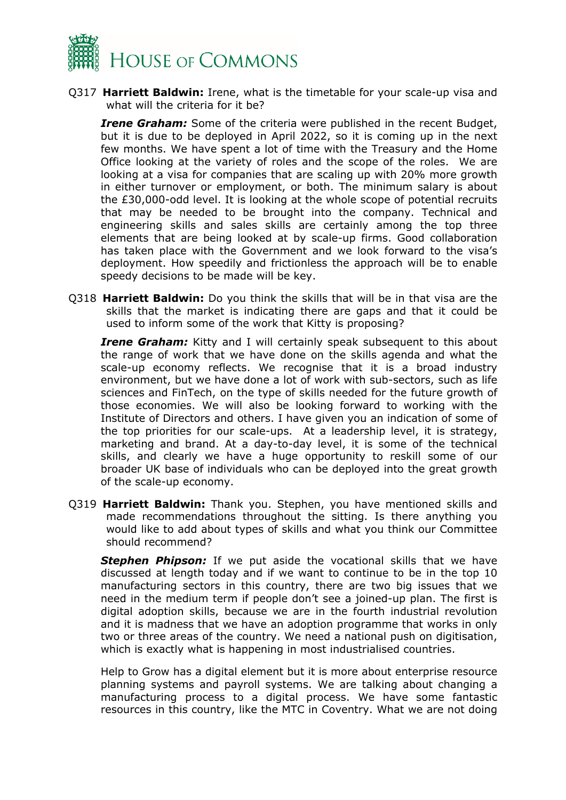

Q317 **Harriett Baldwin:** Irene, what is the timetable for your scale-up visa and what will the criteria for it be?

*Irene Graham:* Some of the criteria were published in the recent Budget, but it is due to be deployed in April 2022, so it is coming up in the next few months. We have spent a lot of time with the Treasury and the Home Office looking at the variety of roles and the scope of the roles. We are looking at a visa for companies that are scaling up with 20% more growth in either turnover or employment, or both. The minimum salary is about the £30,000-odd level. It is looking at the whole scope of potential recruits that may be needed to be brought into the company. Technical and engineering skills and sales skills are certainly among the top three elements that are being looked at by scale-up firms. Good collaboration has taken place with the Government and we look forward to the visa's deployment. How speedily and frictionless the approach will be to enable speedy decisions to be made will be key.

Q318 **Harriett Baldwin:** Do you think the skills that will be in that visa are the skills that the market is indicating there are gaps and that it could be used to inform some of the work that Kitty is proposing?

*Irene Graham:* Kitty and I will certainly speak subsequent to this about the range of work that we have done on the skills agenda and what the scale-up economy reflects. We recognise that it is a broad industry environment, but we have done a lot of work with sub-sectors, such as life sciences and FinTech, on the type of skills needed for the future growth of those economies. We will also be looking forward to working with the Institute of Directors and others. I have given you an indication of some of the top priorities for our scale-ups. At a leadership level, it is strategy, marketing and brand. At a day-to-day level, it is some of the technical skills, and clearly we have a huge opportunity to reskill some of our broader UK base of individuals who can be deployed into the great growth of the scale-up economy.

Q319 **Harriett Baldwin:** Thank you. Stephen, you have mentioned skills and made recommendations throughout the sitting. Is there anything you would like to add about types of skills and what you think our Committee should recommend?

**Stephen Phipson:** If we put aside the vocational skills that we have discussed at length today and if we want to continue to be in the top 10 manufacturing sectors in this country, there are two big issues that we need in the medium term if people don't see a joined-up plan. The first is digital adoption skills, because we are in the fourth industrial revolution and it is madness that we have an adoption programme that works in only two or three areas of the country. We need a national push on digitisation, which is exactly what is happening in most industrialised countries.

Help to Grow has a digital element but it is more about enterprise resource planning systems and payroll systems. We are talking about changing a manufacturing process to a digital process. We have some fantastic resources in this country, like the MTC in Coventry. What we are not doing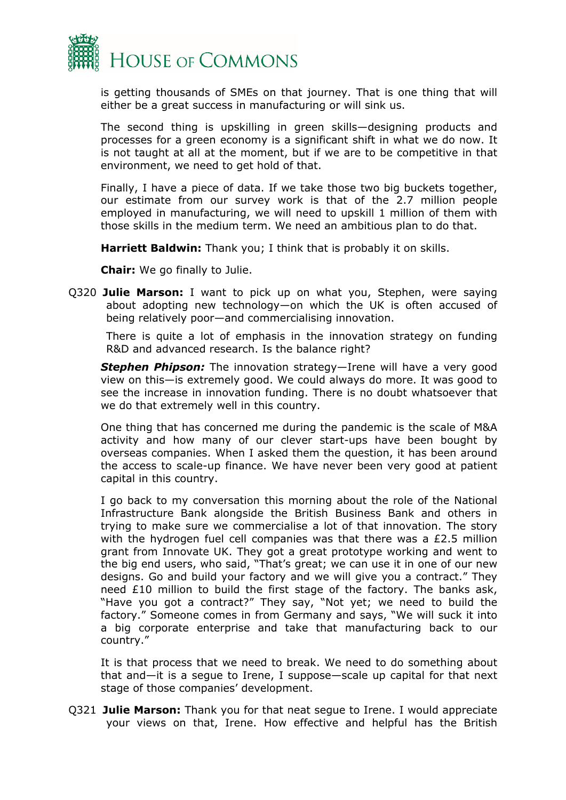

is getting thousands of SMEs on that journey. That is one thing that will either be a great success in manufacturing or will sink us.

The second thing is upskilling in green skills—designing products and processes for a green economy is a significant shift in what we do now. It is not taught at all at the moment, but if we are to be competitive in that environment, we need to get hold of that.

Finally, I have a piece of data. If we take those two big buckets together, our estimate from our survey work is that of the 2.7 million people employed in manufacturing, we will need to upskill 1 million of them with those skills in the medium term. We need an ambitious plan to do that.

**Harriett Baldwin:** Thank you; I think that is probably it on skills.

**Chair:** We go finally to Julie.

Q320 **Julie Marson:** I want to pick up on what you, Stephen, were saying about adopting new technology—on which the UK is often accused of being relatively poor—and commercialising innovation.

There is quite a lot of emphasis in the innovation strategy on funding R&D and advanced research. Is the balance right?

*Stephen Phipson:* The innovation strategy—Irene will have a very good view on this—is extremely good. We could always do more. It was good to see the increase in innovation funding. There is no doubt whatsoever that we do that extremely well in this country.

One thing that has concerned me during the pandemic is the scale of M&A activity and how many of our clever start-ups have been bought by overseas companies. When I asked them the question, it has been around the access to scale-up finance. We have never been very good at patient capital in this country.

I go back to my conversation this morning about the role of the National Infrastructure Bank alongside the British Business Bank and others in trying to make sure we commercialise a lot of that innovation. The story with the hydrogen fuel cell companies was that there was a £2.5 million grant from Innovate UK. They got a great prototype working and went to the big end users, who said, "That's great; we can use it in one of our new designs. Go and build your factory and we will give you a contract." They need £10 million to build the first stage of the factory. The banks ask, "Have you got a contract?" They say, "Not yet; we need to build the factory." Someone comes in from Germany and says, "We will suck it into a big corporate enterprise and take that manufacturing back to our country."

It is that process that we need to break. We need to do something about that and—it is a segue to Irene, I suppose—scale up capital for that next stage of those companies' development.

Q321 **Julie Marson:** Thank you for that neat segue to Irene. I would appreciate your views on that, Irene. How effective and helpful has the British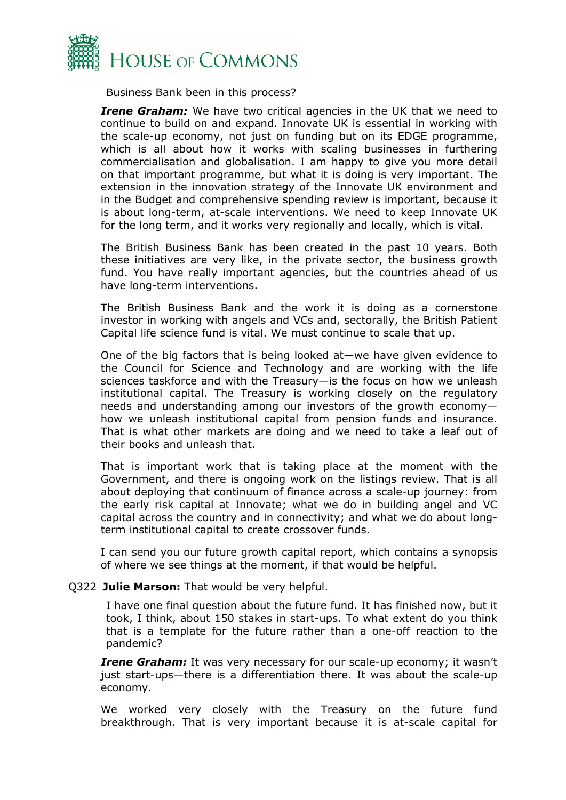

Business Bank been in this process?

*Irene Graham:* We have two critical agencies in the UK that we need to continue to build on and expand. Innovate UK is essential in working with the scale-up economy, not just on funding but on its EDGE programme, which is all about how it works with scaling businesses in furthering commercialisation and globalisation. I am happy to give you more detail on that important programme, but what it is doing is very important. The extension in the innovation strategy of the Innovate UK environment and in the Budget and comprehensive spending review is important, because it is about long-term, at-scale interventions. We need to keep Innovate UK for the long term, and it works very regionally and locally, which is vital.

The British Business Bank has been created in the past 10 years. Both these initiatives are very like, in the private sector, the business growth fund. You have really important agencies, but the countries ahead of us have long-term interventions.

The British Business Bank and the work it is doing as a cornerstone investor in working with angels and VCs and, sectorally, the British Patient Capital life science fund is vital. We must continue to scale that up.

One of the big factors that is being looked at—we have given evidence to the Council for Science and Technology and are working with the life sciences taskforce and with the Treasury—is the focus on how we unleash institutional capital. The Treasury is working closely on the regulatory needs and understanding among our investors of the growth economy how we unleash institutional capital from pension funds and insurance. That is what other markets are doing and we need to take a leaf out of their books and unleash that.

That is important work that is taking place at the moment with the Government, and there is ongoing work on the listings review. That is all about deploying that continuum of finance across a scale-up journey: from the early risk capital at Innovate; what we do in building angel and VC capital across the country and in connectivity; and what we do about longterm institutional capital to create crossover funds.

I can send you our future growth capital report, which contains a synopsis of where we see things at the moment, if that would be helpful.

#### Q322 **Julie Marson:** That would be very helpful.

I have one final question about the future fund. It has finished now, but it took, I think, about 150 stakes in start-ups. To what extent do you think that is a template for the future rather than a one-off reaction to the pandemic?

*Irene Graham:* It was very necessary for our scale-up economy; it wasn't just start-ups—there is a differentiation there. It was about the scale-up economy.

We worked very closely with the Treasury on the future fund breakthrough. That is very important because it is at-scale capital for